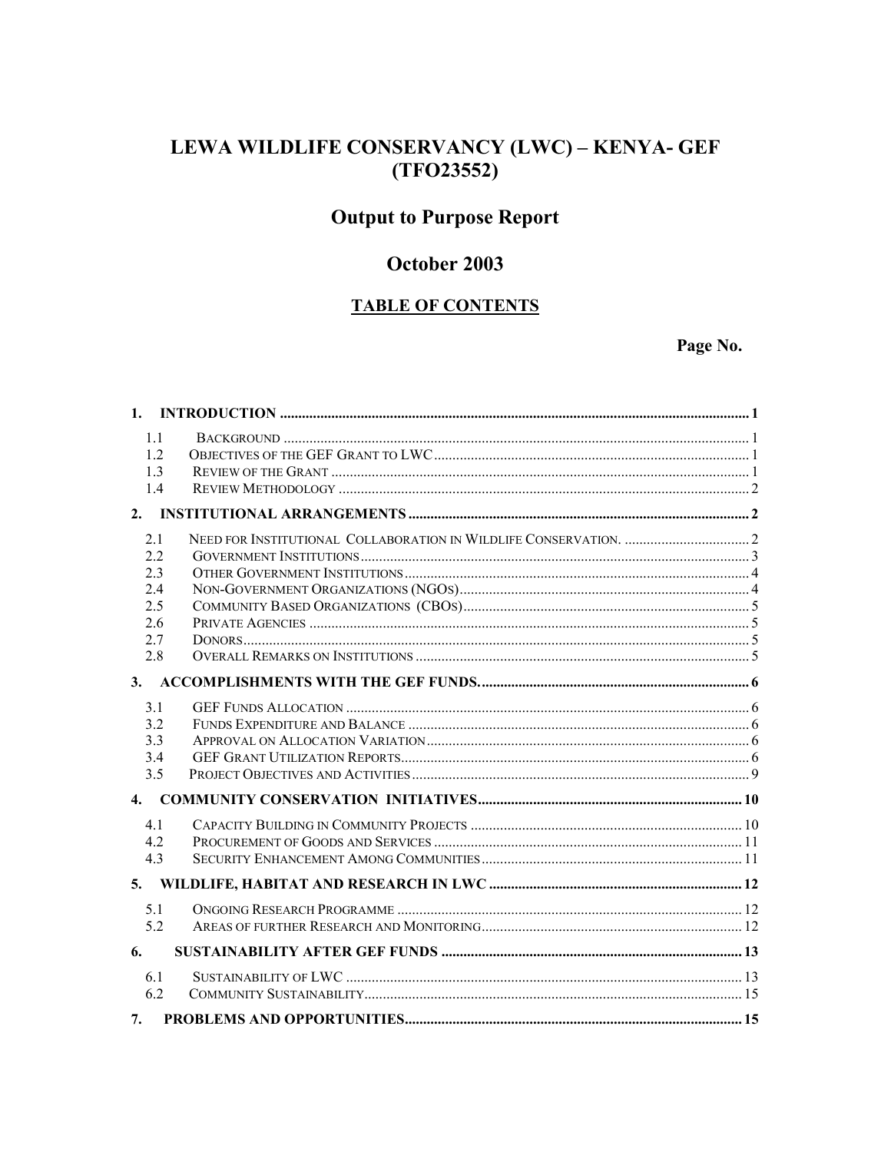# LEWA WILDLIFE CONSERVANCY (LWC) - KENYA- GEF  $(TFO23552)$

# **Output to Purpose Report**

## October 2003

## **TABLE OF CONTENTS**

## Page No.

| 1.1 |  |
|-----|--|
| 1.2 |  |
| 1.3 |  |
| 1.4 |  |
|     |  |
| 2.1 |  |
| 2.2 |  |
| 2.3 |  |
| 2.4 |  |
| 2.5 |  |
| 2.6 |  |
| 2.7 |  |
| 2.8 |  |
| 3.  |  |
| 3.1 |  |
| 3.2 |  |
| 3.3 |  |
| 3.4 |  |
| 3.5 |  |
| 4.  |  |
| 4.1 |  |
| 4.2 |  |
| 4.3 |  |
|     |  |
| 5.1 |  |
| 5.2 |  |
| 6.  |  |
| 6.1 |  |
| 6.2 |  |
| 7.  |  |
|     |  |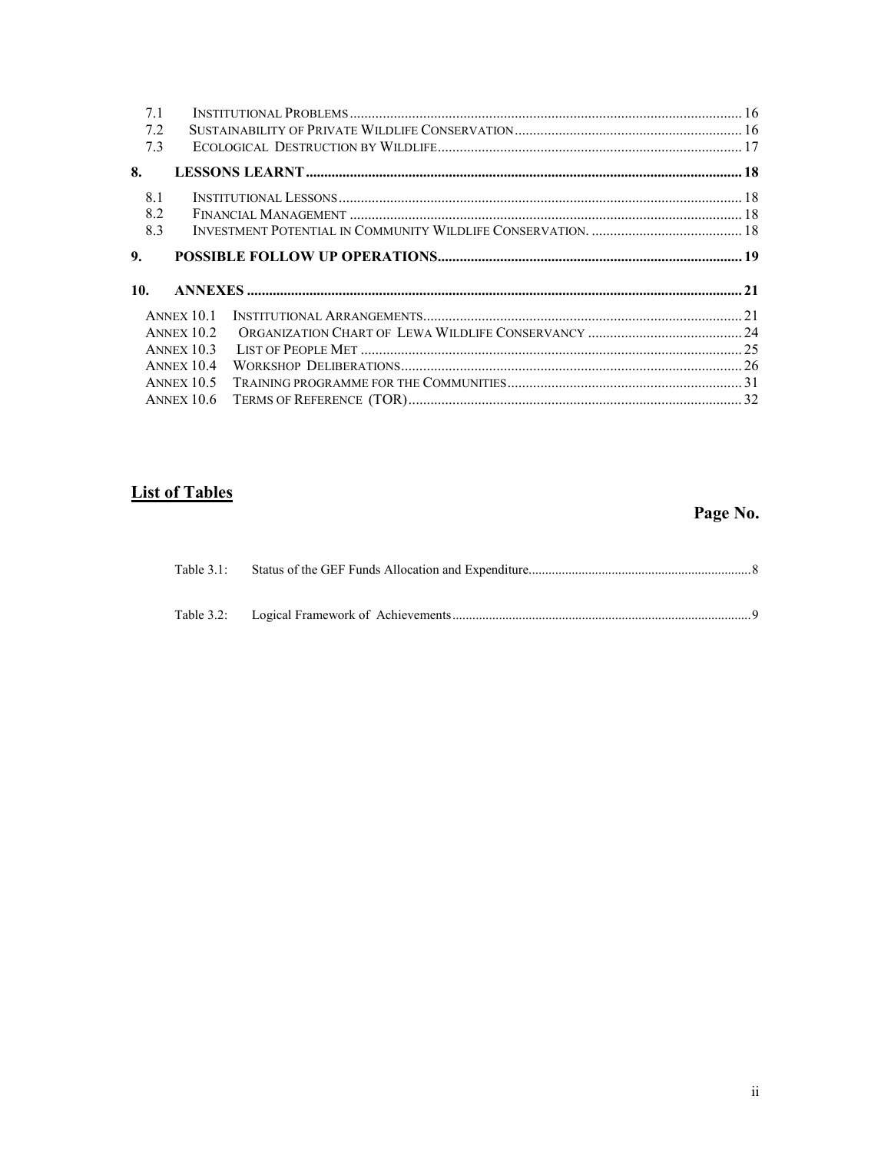| 7.1 |                   |  |
|-----|-------------------|--|
| 7.2 |                   |  |
| 7.3 |                   |  |
| 8.  |                   |  |
| 8.1 |                   |  |
| 8.2 |                   |  |
| 8.3 |                   |  |
|     |                   |  |
| 9.  |                   |  |
| 10. |                   |  |
|     | ANNEX 101         |  |
|     | ANNEX 102         |  |
|     | ANNEX 10 $3$      |  |
|     | ANNEX $104$       |  |
|     | <b>ANNEX 10.5</b> |  |
|     | <b>ANNEX 10.6</b> |  |

# **List of Tables**

# Page No.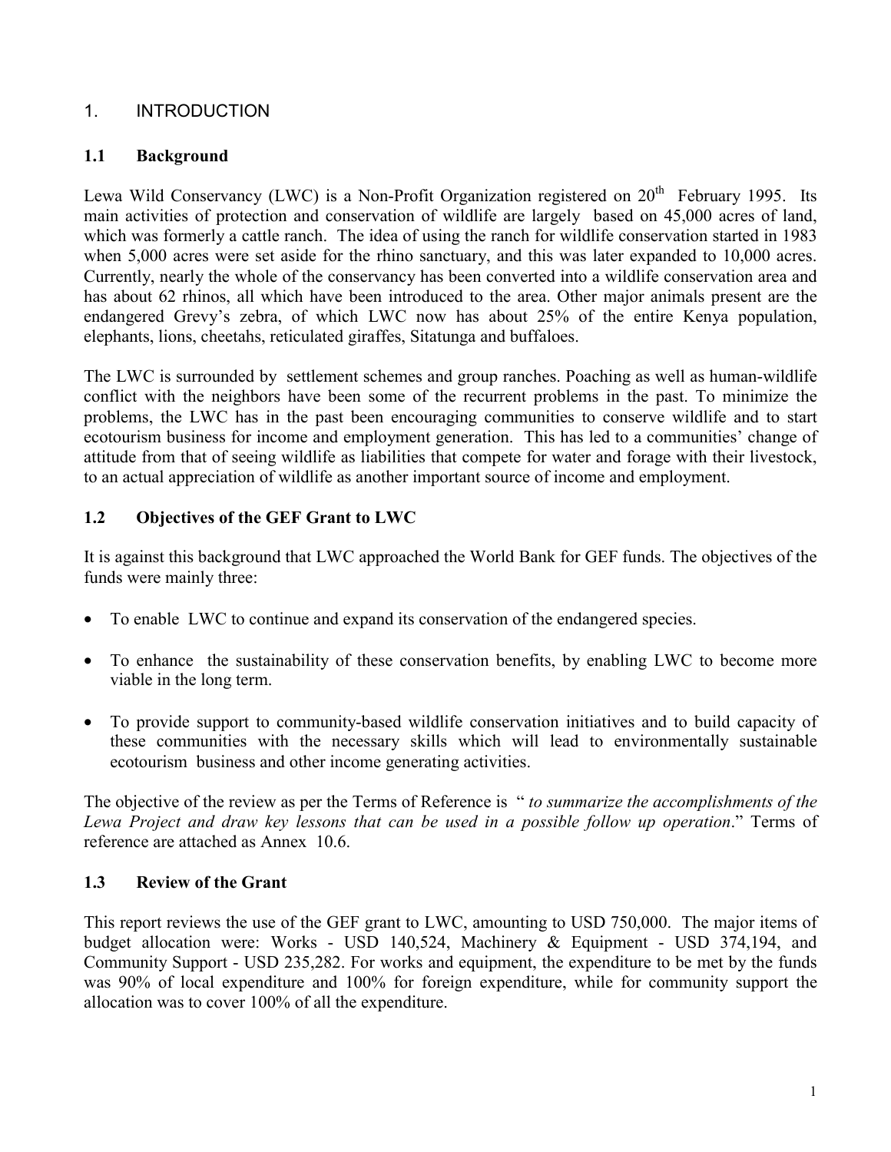## 1. INTRODUCTION

## **1.1 Background**

Lewa Wild Conservancy (LWC) is a Non-Profit Organization registered on  $20<sup>th</sup>$  February 1995. Its main activities of protection and conservation of wildlife are largely based on 45,000 acres of land, which was formerly a cattle ranch. The idea of using the ranch for wildlife conservation started in 1983 when 5,000 acres were set aside for the rhino sanctuary, and this was later expanded to 10,000 acres. Currently, nearly the whole of the conservancy has been converted into a wildlife conservation area and has about 62 rhinos, all which have been introduced to the area. Other major animals present are the endangered Grevy's zebra, of which LWC now has about 25% of the entire Kenya population, elephants, lions, cheetahs, reticulated giraffes, Sitatunga and buffaloes.

The LWC is surrounded by settlement schemes and group ranches. Poaching as well as human-wildlife conflict with the neighbors have been some of the recurrent problems in the past. To minimize the problems, the LWC has in the past been encouraging communities to conserve wildlife and to start ecotourism business for income and employment generation. This has led to a communities' change of attitude from that of seeing wildlife as liabilities that compete for water and forage with their livestock, to an actual appreciation of wildlife as another important source of income and employment.

## **1.2 Objectives of the GEF Grant to LWC**

It is against this background that LWC approached the World Bank for GEF funds. The objectives of the funds were mainly three:

- To enable LWC to continue and expand its conservation of the endangered species.
- To enhance the sustainability of these conservation benefits, by enabling LWC to become more viable in the long term.
- To provide support to community-based wildlife conservation initiatives and to build capacity of these communities with the necessary skills which will lead to environmentally sustainable ecotourism business and other income generating activities.

The objective of the review as per the Terms of Reference is " *to summarize the accomplishments of the Lewa Project and draw key lessons that can be used in a possible follow up operation*." Terms of reference are attached as Annex 10.6.

## **1.3 Review of the Grant**

This report reviews the use of the GEF grant to LWC, amounting to USD 750,000. The major items of budget allocation were: Works - USD 140,524, Machinery & Equipment - USD 374,194, and Community Support - USD 235,282. For works and equipment, the expenditure to be met by the funds was 90% of local expenditure and 100% for foreign expenditure, while for community support the allocation was to cover 100% of all the expenditure.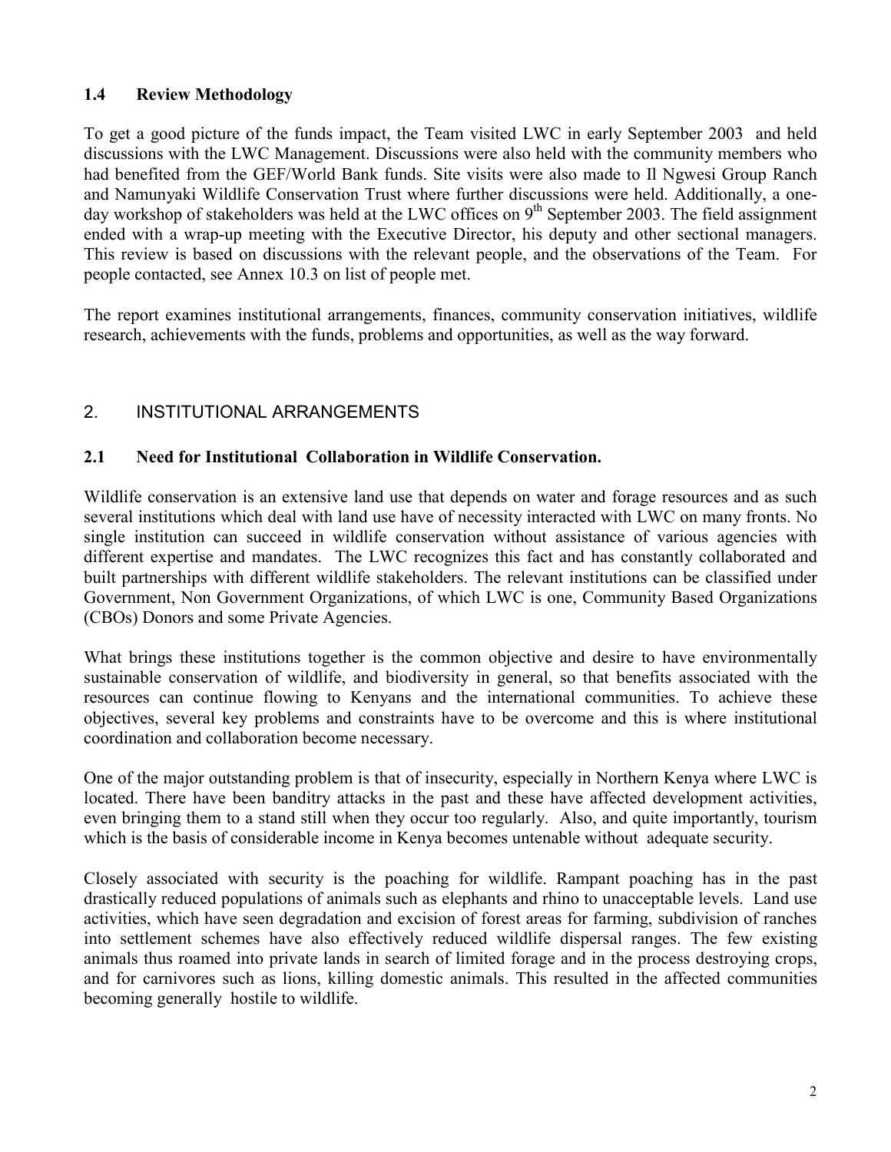## **1.4 Review Methodology**

To get a good picture of the funds impact, the Team visited LWC in early September 2003 and held discussions with the LWC Management. Discussions were also held with the community members who had benefited from the GEF/World Bank funds. Site visits were also made to Il Ngwesi Group Ranch and Namunyaki Wildlife Conservation Trust where further discussions were held. Additionally, a oneday workshop of stakeholders was held at the LWC offices on 9<sup>th</sup> September 2003. The field assignment ended with a wrap-up meeting with the Executive Director, his deputy and other sectional managers. This review is based on discussions with the relevant people, and the observations of the Team. For people contacted, see Annex 10.3 on list of people met.

The report examines institutional arrangements, finances, community conservation initiatives, wildlife research, achievements with the funds, problems and opportunities, as well as the way forward.

## 2. INSTITUTIONAL ARRANGEMENTS

## **2.1 Need for Institutional Collaboration in Wildlife Conservation.**

Wildlife conservation is an extensive land use that depends on water and forage resources and as such several institutions which deal with land use have of necessity interacted with LWC on many fronts. No single institution can succeed in wildlife conservation without assistance of various agencies with different expertise and mandates. The LWC recognizes this fact and has constantly collaborated and built partnerships with different wildlife stakeholders. The relevant institutions can be classified under Government, Non Government Organizations, of which LWC is one, Community Based Organizations (CBOs) Donors and some Private Agencies.

What brings these institutions together is the common objective and desire to have environmentally sustainable conservation of wildlife, and biodiversity in general, so that benefits associated with the resources can continue flowing to Kenyans and the international communities. To achieve these objectives, several key problems and constraints have to be overcome and this is where institutional coordination and collaboration become necessary.

One of the major outstanding problem is that of insecurity, especially in Northern Kenya where LWC is located. There have been banditry attacks in the past and these have affected development activities, even bringing them to a stand still when they occur too regularly. Also, and quite importantly, tourism which is the basis of considerable income in Kenya becomes untenable without adequate security.

Closely associated with security is the poaching for wildlife. Rampant poaching has in the past drastically reduced populations of animals such as elephants and rhino to unacceptable levels. Land use activities, which have seen degradation and excision of forest areas for farming, subdivision of ranches into settlement schemes have also effectively reduced wildlife dispersal ranges. The few existing animals thus roamed into private lands in search of limited forage and in the process destroying crops, and for carnivores such as lions, killing domestic animals. This resulted in the affected communities becoming generally hostile to wildlife.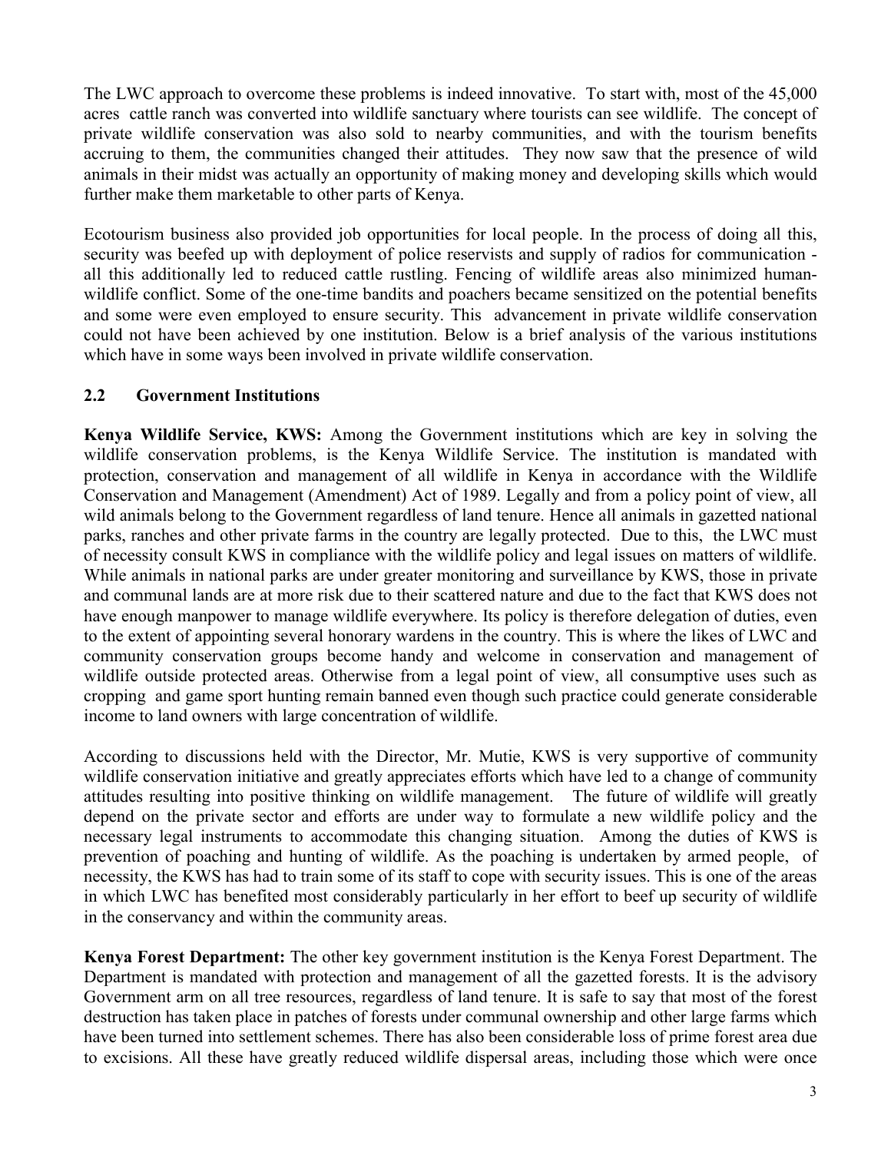The LWC approach to overcome these problems is indeed innovative. To start with, most of the 45,000 acres cattle ranch was converted into wildlife sanctuary where tourists can see wildlife. The concept of private wildlife conservation was also sold to nearby communities, and with the tourism benefits accruing to them, the communities changed their attitudes. They now saw that the presence of wild animals in their midst was actually an opportunity of making money and developing skills which would further make them marketable to other parts of Kenya.

Ecotourism business also provided job opportunities for local people. In the process of doing all this, security was beefed up with deployment of police reservists and supply of radios for communication all this additionally led to reduced cattle rustling. Fencing of wildlife areas also minimized humanwildlife conflict. Some of the one-time bandits and poachers became sensitized on the potential benefits and some were even employed to ensure security. This advancement in private wildlife conservation could not have been achieved by one institution. Below is a brief analysis of the various institutions which have in some ways been involved in private wildlife conservation.

## **2.2 Government Institutions**

**Kenya Wildlife Service, KWS:** Among the Government institutions which are key in solving the wildlife conservation problems, is the Kenya Wildlife Service. The institution is mandated with protection, conservation and management of all wildlife in Kenya in accordance with the Wildlife Conservation and Management (Amendment) Act of 1989. Legally and from a policy point of view, all wild animals belong to the Government regardless of land tenure. Hence all animals in gazetted national parks, ranches and other private farms in the country are legally protected. Due to this, the LWC must of necessity consult KWS in compliance with the wildlife policy and legal issues on matters of wildlife. While animals in national parks are under greater monitoring and surveillance by KWS, those in private and communal lands are at more risk due to their scattered nature and due to the fact that KWS does not have enough manpower to manage wildlife everywhere. Its policy is therefore delegation of duties, even to the extent of appointing several honorary wardens in the country. This is where the likes of LWC and community conservation groups become handy and welcome in conservation and management of wildlife outside protected areas. Otherwise from a legal point of view, all consumptive uses such as cropping and game sport hunting remain banned even though such practice could generate considerable income to land owners with large concentration of wildlife.

According to discussions held with the Director, Mr. Mutie, KWS is very supportive of community wildlife conservation initiative and greatly appreciates efforts which have led to a change of community attitudes resulting into positive thinking on wildlife management. The future of wildlife will greatly depend on the private sector and efforts are under way to formulate a new wildlife policy and the necessary legal instruments to accommodate this changing situation. Among the duties of KWS is prevention of poaching and hunting of wildlife. As the poaching is undertaken by armed people, of necessity, the KWS has had to train some of its staff to cope with security issues. This is one of the areas in which LWC has benefited most considerably particularly in her effort to beef up security of wildlife in the conservancy and within the community areas.

**Kenya Forest Department:** The other key government institution is the Kenya Forest Department. The Department is mandated with protection and management of all the gazetted forests. It is the advisory Government arm on all tree resources, regardless of land tenure. It is safe to say that most of the forest destruction has taken place in patches of forests under communal ownership and other large farms which have been turned into settlement schemes. There has also been considerable loss of prime forest area due to excisions. All these have greatly reduced wildlife dispersal areas, including those which were once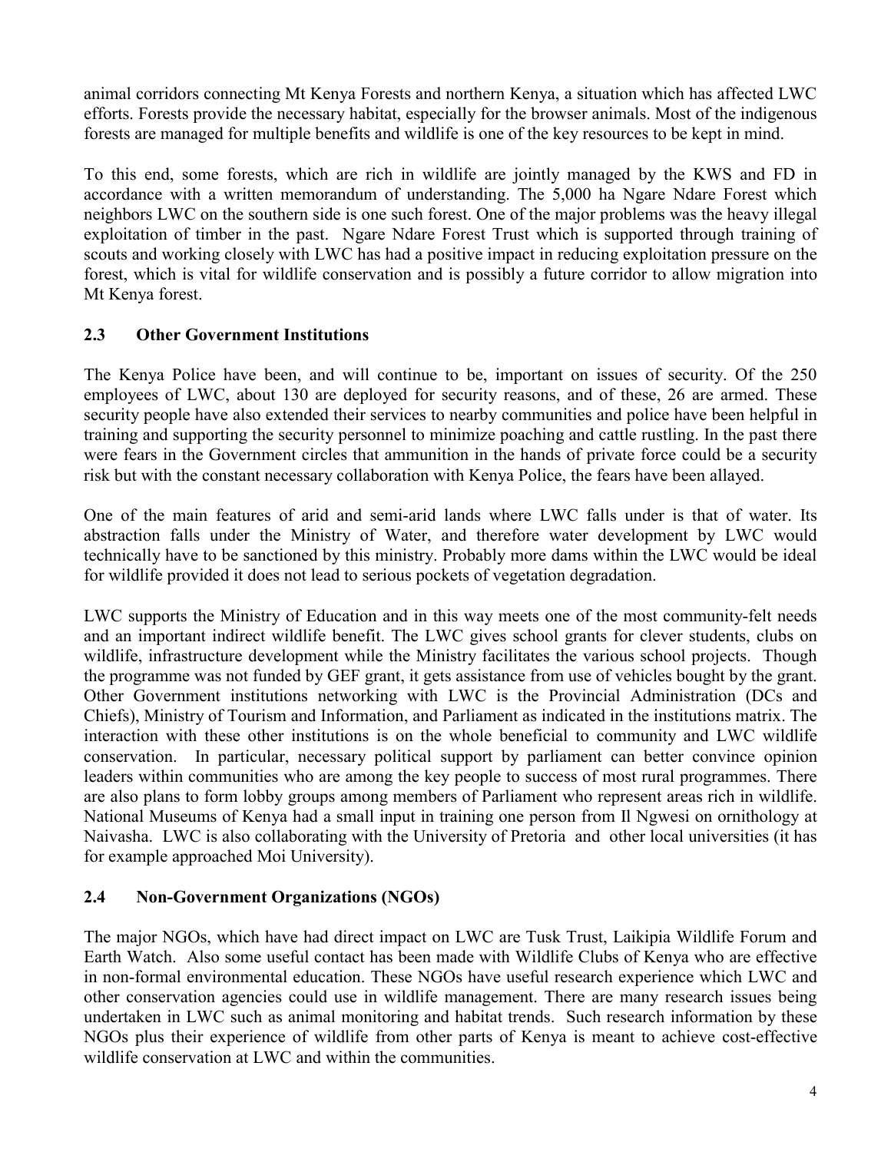animal corridors connecting Mt Kenya Forests and northern Kenya, a situation which has affected LWC efforts. Forests provide the necessary habitat, especially for the browser animals. Most of the indigenous forests are managed for multiple benefits and wildlife is one of the key resources to be kept in mind.

To this end, some forests, which are rich in wildlife are jointly managed by the KWS and FD in accordance with a written memorandum of understanding. The 5,000 ha Ngare Ndare Forest which neighbors LWC on the southern side is one such forest. One of the major problems was the heavy illegal exploitation of timber in the past. Ngare Ndare Forest Trust which is supported through training of scouts and working closely with LWC has had a positive impact in reducing exploitation pressure on the forest, which is vital for wildlife conservation and is possibly a future corridor to allow migration into Mt Kenya forest.

## **2.3 Other Government Institutions**

The Kenya Police have been, and will continue to be, important on issues of security. Of the 250 employees of LWC, about 130 are deployed for security reasons, and of these, 26 are armed. These security people have also extended their services to nearby communities and police have been helpful in training and supporting the security personnel to minimize poaching and cattle rustling. In the past there were fears in the Government circles that ammunition in the hands of private force could be a security risk but with the constant necessary collaboration with Kenya Police, the fears have been allayed.

One of the main features of arid and semi-arid lands where LWC falls under is that of water. Its abstraction falls under the Ministry of Water, and therefore water development by LWC would technically have to be sanctioned by this ministry. Probably more dams within the LWC would be ideal for wildlife provided it does not lead to serious pockets of vegetation degradation.

LWC supports the Ministry of Education and in this way meets one of the most community-felt needs and an important indirect wildlife benefit. The LWC gives school grants for clever students, clubs on wildlife, infrastructure development while the Ministry facilitates the various school projects. Though the programme was not funded by GEF grant, it gets assistance from use of vehicles bought by the grant. Other Government institutions networking with LWC is the Provincial Administration (DCs and Chiefs), Ministry of Tourism and Information, and Parliament as indicated in the institutions matrix. The interaction with these other institutions is on the whole beneficial to community and LWC wildlife conservation. In particular, necessary political support by parliament can better convince opinion leaders within communities who are among the key people to success of most rural programmes. There are also plans to form lobby groups among members of Parliament who represent areas rich in wildlife. National Museums of Kenya had a small input in training one person from Il Ngwesi on ornithology at Naivasha. LWC is also collaborating with the University of Pretoria and other local universities (it has for example approached Moi University).

## **2.4 Non-Government Organizations (NGOs)**

The major NGOs, which have had direct impact on LWC are Tusk Trust, Laikipia Wildlife Forum and Earth Watch. Also some useful contact has been made with Wildlife Clubs of Kenya who are effective in non-formal environmental education. These NGOs have useful research experience which LWC and other conservation agencies could use in wildlife management. There are many research issues being undertaken in LWC such as animal monitoring and habitat trends. Such research information by these NGOs plus their experience of wildlife from other parts of Kenya is meant to achieve cost-effective wildlife conservation at LWC and within the communities.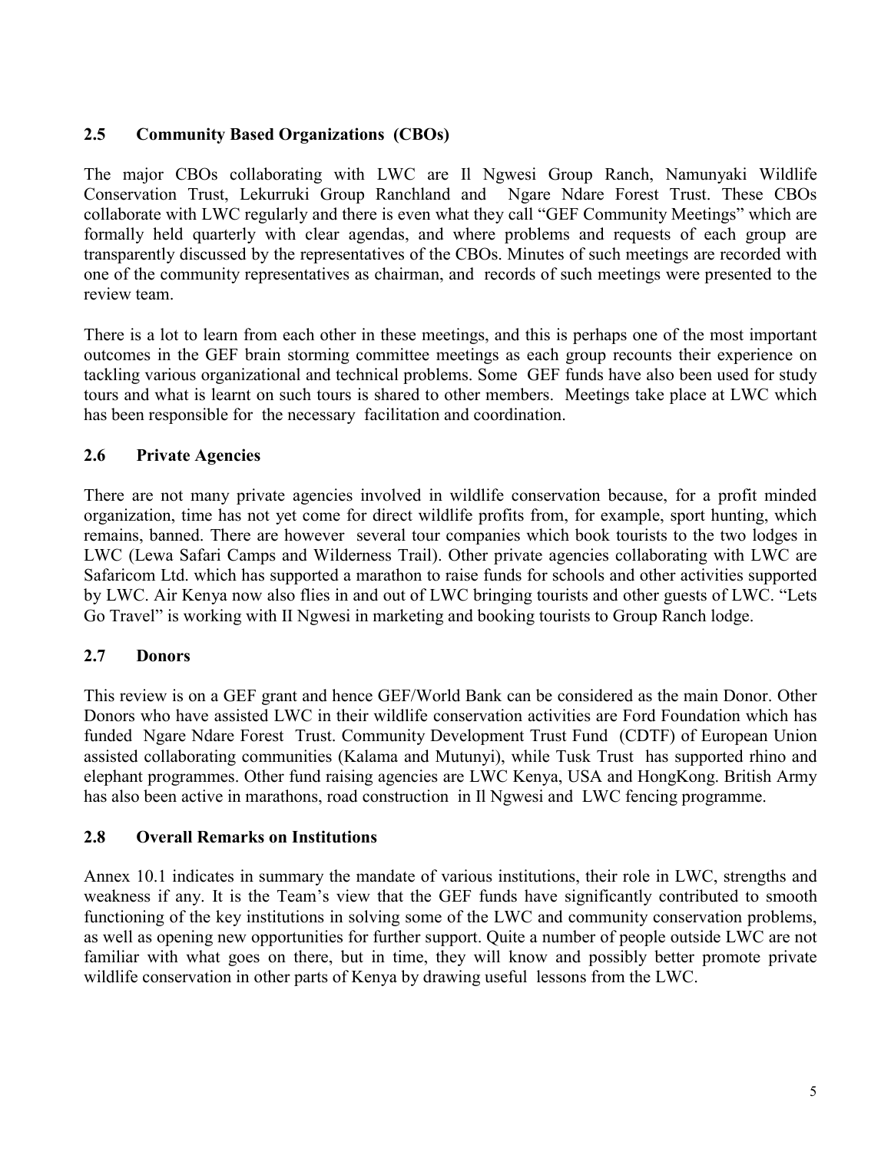## **2.5 Community Based Organizations (CBOs)**

The major CBOs collaborating with LWC are Il Ngwesi Group Ranch, Namunyaki Wildlife Conservation Trust, Lekurruki Group Ranchland and Ngare Ndare Forest Trust. These CBOs collaborate with LWC regularly and there is even what they call "GEF Community Meetings" which are formally held quarterly with clear agendas, and where problems and requests of each group are transparently discussed by the representatives of the CBOs. Minutes of such meetings are recorded with one of the community representatives as chairman, and records of such meetings were presented to the review team.

There is a lot to learn from each other in these meetings, and this is perhaps one of the most important outcomes in the GEF brain storming committee meetings as each group recounts their experience on tackling various organizational and technical problems. Some GEF funds have also been used for study tours and what is learnt on such tours is shared to other members. Meetings take place at LWC which has been responsible for the necessary facilitation and coordination.

## **2.6 Private Agencies**

There are not many private agencies involved in wildlife conservation because, for a profit minded organization, time has not yet come for direct wildlife profits from, for example, sport hunting, which remains, banned. There are however several tour companies which book tourists to the two lodges in LWC (Lewa Safari Camps and Wilderness Trail). Other private agencies collaborating with LWC are Safaricom Ltd. which has supported a marathon to raise funds for schools and other activities supported by LWC. Air Kenya now also flies in and out of LWC bringing tourists and other guests of LWC. "Lets Go Travel" is working with II Ngwesi in marketing and booking tourists to Group Ranch lodge.

## **2.7 Donors**

This review is on a GEF grant and hence GEF/World Bank can be considered as the main Donor. Other Donors who have assisted LWC in their wildlife conservation activities are Ford Foundation which has funded Ngare Ndare Forest Trust. Community Development Trust Fund (CDTF) of European Union assisted collaborating communities (Kalama and Mutunyi), while Tusk Trust has supported rhino and elephant programmes. Other fund raising agencies are LWC Kenya, USA and HongKong. British Army has also been active in marathons, road construction in Il Ngwesi and LWC fencing programme.

## **2.8 Overall Remarks on Institutions**

Annex 10.1 indicates in summary the mandate of various institutions, their role in LWC, strengths and weakness if any. It is the Team's view that the GEF funds have significantly contributed to smooth functioning of the key institutions in solving some of the LWC and community conservation problems, as well as opening new opportunities for further support. Quite a number of people outside LWC are not familiar with what goes on there, but in time, they will know and possibly better promote private wildlife conservation in other parts of Kenya by drawing useful lessons from the LWC.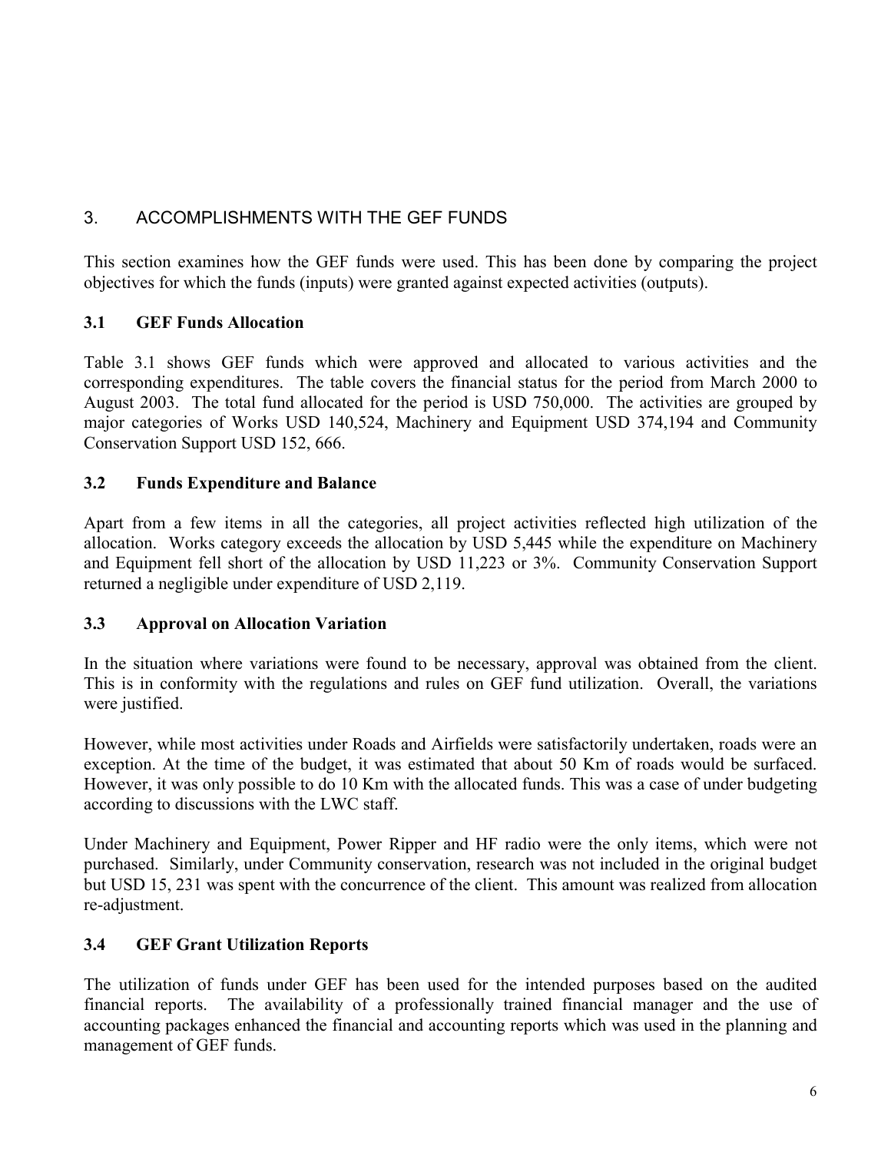## 3. ACCOMPLISHMENTS WITH THE GEF FUNDS

This section examines how the GEF funds were used. This has been done by comparing the project objectives for which the funds (inputs) were granted against expected activities (outputs).

## **3.1 GEF Funds Allocation**

Table 3.1 shows GEF funds which were approved and allocated to various activities and the corresponding expenditures. The table covers the financial status for the period from March 2000 to August 2003. The total fund allocated for the period is USD 750,000. The activities are grouped by major categories of Works USD 140,524, Machinery and Equipment USD 374,194 and Community Conservation Support USD 152, 666.

## **3.2 Funds Expenditure and Balance**

Apart from a few items in all the categories, all project activities reflected high utilization of the allocation. Works category exceeds the allocation by USD 5,445 while the expenditure on Machinery and Equipment fell short of the allocation by USD 11,223 or 3%. Community Conservation Support returned a negligible under expenditure of USD 2,119.

## **3.3 Approval on Allocation Variation**

In the situation where variations were found to be necessary, approval was obtained from the client. This is in conformity with the regulations and rules on GEF fund utilization. Overall, the variations were justified.

However, while most activities under Roads and Airfields were satisfactorily undertaken, roads were an exception. At the time of the budget, it was estimated that about 50 Km of roads would be surfaced. However, it was only possible to do 10 Km with the allocated funds. This was a case of under budgeting according to discussions with the LWC staff.

Under Machinery and Equipment, Power Ripper and HF radio were the only items, which were not purchased. Similarly, under Community conservation, research was not included in the original budget but USD 15, 231 was spent with the concurrence of the client. This amount was realized from allocation re-adjustment.

## **3.4 GEF Grant Utilization Reports**

The utilization of funds under GEF has been used for the intended purposes based on the audited financial reports. The availability of a professionally trained financial manager and the use of accounting packages enhanced the financial and accounting reports which was used in the planning and management of GEF funds.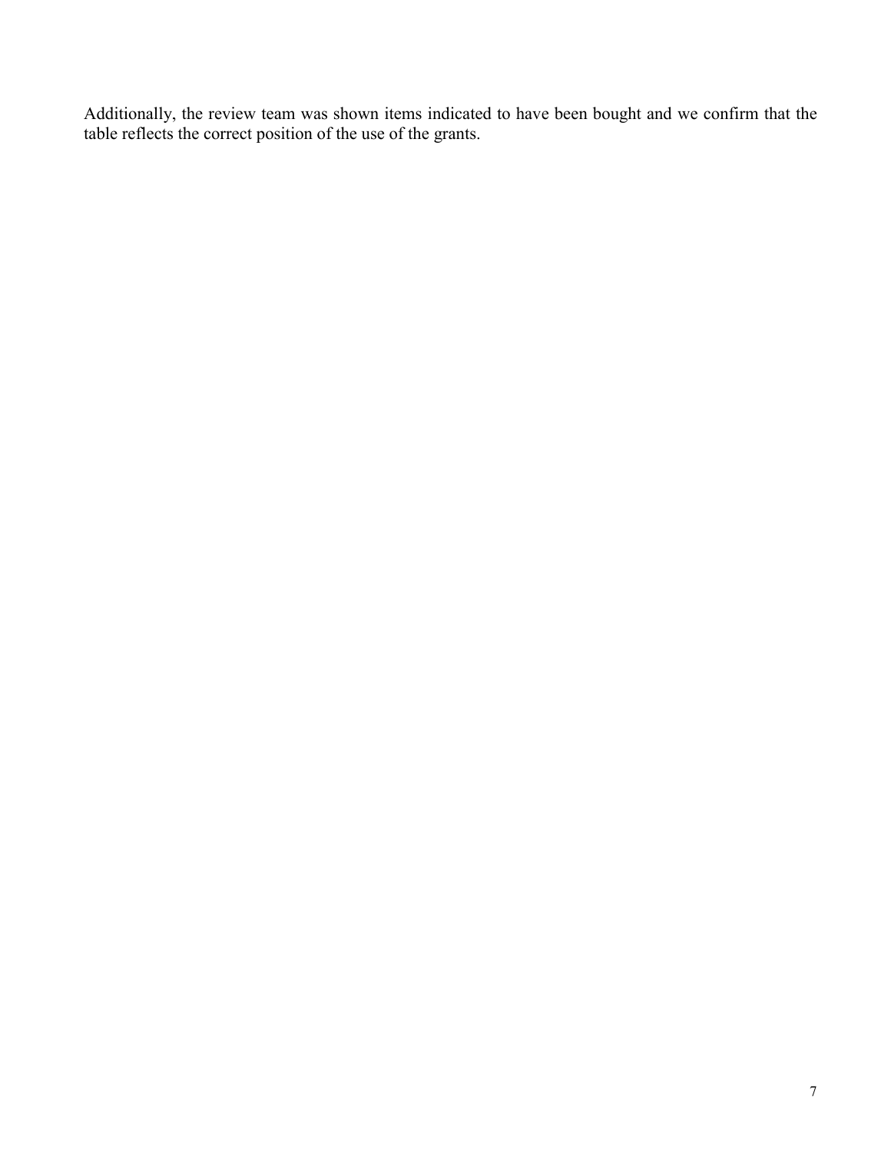Additionally, the review team was shown items indicated to have been bought and we confirm that the table reflects the correct position of the use of the grants.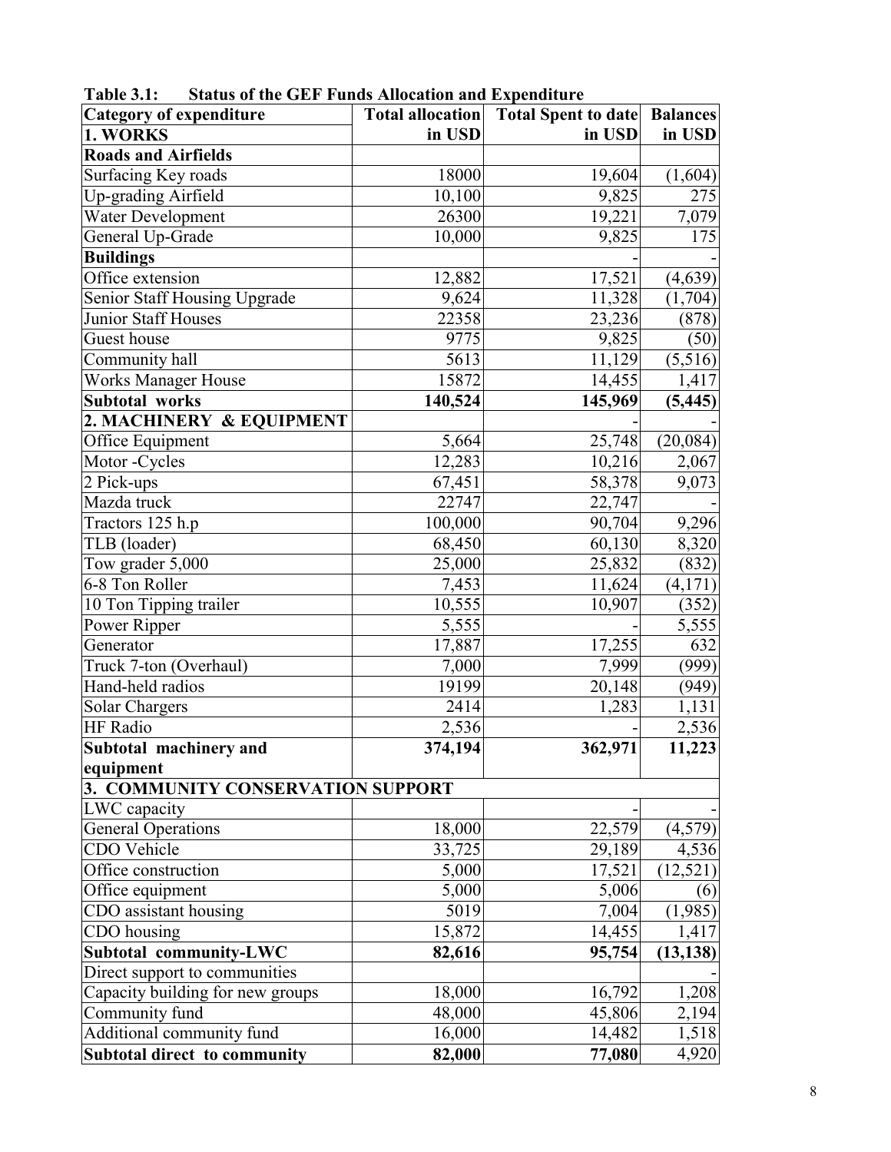| <b>Category of expenditure</b>      | <b>Total allocation</b> | <b>Total Spent to date</b> | <b>Balances</b> |
|-------------------------------------|-------------------------|----------------------------|-----------------|
| 1. WORKS                            | in USD                  | in USD                     | in USD          |
| <b>Roads and Airfields</b>          |                         |                            |                 |
| Surfacing Key roads                 | 18000                   | 19,604                     | (1,604)         |
| Up-grading Airfield                 | 10,100                  | 9,825                      | 275             |
| Water Development                   | 26300                   | 19,221                     | 7,079           |
| General Up-Grade                    | 10,000                  | 9,825                      | 175             |
| <b>Buildings</b>                    |                         |                            |                 |
| Office extension                    | 12,882                  | 17,521                     | (4,639)         |
| Senior Staff Housing Upgrade        | 9,624                   | 11,328                     | (1,704)         |
| <b>Junior Staff Houses</b>          | 22358                   | 23,236                     | (878)           |
| Guest house                         | 9775                    | 9,825                      | (50)            |
| Community hall                      | 5613                    | 11,129                     | (5,516)         |
| <b>Works Manager House</b>          | 15872                   | 14,455                     | 1,417           |
| Subtotal works                      | 140,524                 | 145,969                    | (5, 445)        |
| 2. MACHINERY & EQUIPMENT            |                         |                            |                 |
| Office Equipment                    | 5,664                   | 25,748                     | (20, 084)       |
| Motor-Cycles                        | 12,283                  | 10,216                     | 2,067           |
| 2 Pick-ups                          | 67,451                  | 58,378                     | 9,073           |
| Mazda truck                         | 22747                   | 22,747                     |                 |
| Tractors 125 h.p                    | 100,000                 | 90,704                     | 9,296           |
| TLB (loader)                        | 68,450                  | 60,130                     | 8,320           |
| Tow grader 5,000                    | 25,000                  | 25,832                     | (832)           |
| 6-8 Ton Roller                      | 7,453                   | 11,624                     | (4,171)         |
| 10 Ton Tipping trailer              | 10,555                  | 10,907                     | (352)           |
| Power Ripper                        | 5,555                   |                            | 5,555           |
| Generator                           | 17,887                  | 17,255                     | 632             |
| Truck 7-ton (Overhaul)              | 7,000                   | 7,999                      | (999)           |
| Hand-held radios                    | 19199                   | 20,148                     | (949)           |
| <b>Solar Chargers</b>               | 2414                    | 1,283                      | 1,131           |
| HF Radio                            | 2,536                   |                            | 2,536           |
| Subtotal machinery and              | 374,194                 | 362,971                    | 11,223          |
| equipment                           |                         |                            |                 |
| 3. COMMUNITY CONSERVATION SUPPORT   |                         |                            |                 |
| LWC capacity                        |                         |                            |                 |
| <b>General Operations</b>           | 18,000                  | 22,579                     | (4,579)         |
| CDO Vehicle                         | 33,725                  | 29,189                     | 4,536           |
| Office construction                 | 5,000                   | 17,521                     | (12, 521)       |
| Office equipment                    | 5,000                   | 5,006                      | (6)             |
| CDO assistant housing               | 5019                    | 7,004                      | (1,985)         |
| CDO housing                         | 15,872                  | 14,455                     | 1,417           |
| Subtotal community-LWC              | 82,616                  | 95,754                     | (13, 138)       |
| Direct support to communities       |                         |                            |                 |
| Capacity building for new groups    | 18,000                  | 16,792                     | 1,208           |
| Community fund                      | 48,000                  | 45,806                     | 2,194           |
| Additional community fund           | 16,000                  | 14,482                     | 1,518           |
| <b>Subtotal direct to community</b> | 82,000                  | 77,080                     | 4,920           |

**Table 3.1: Status of the GEF Funds Allocation and Expenditure**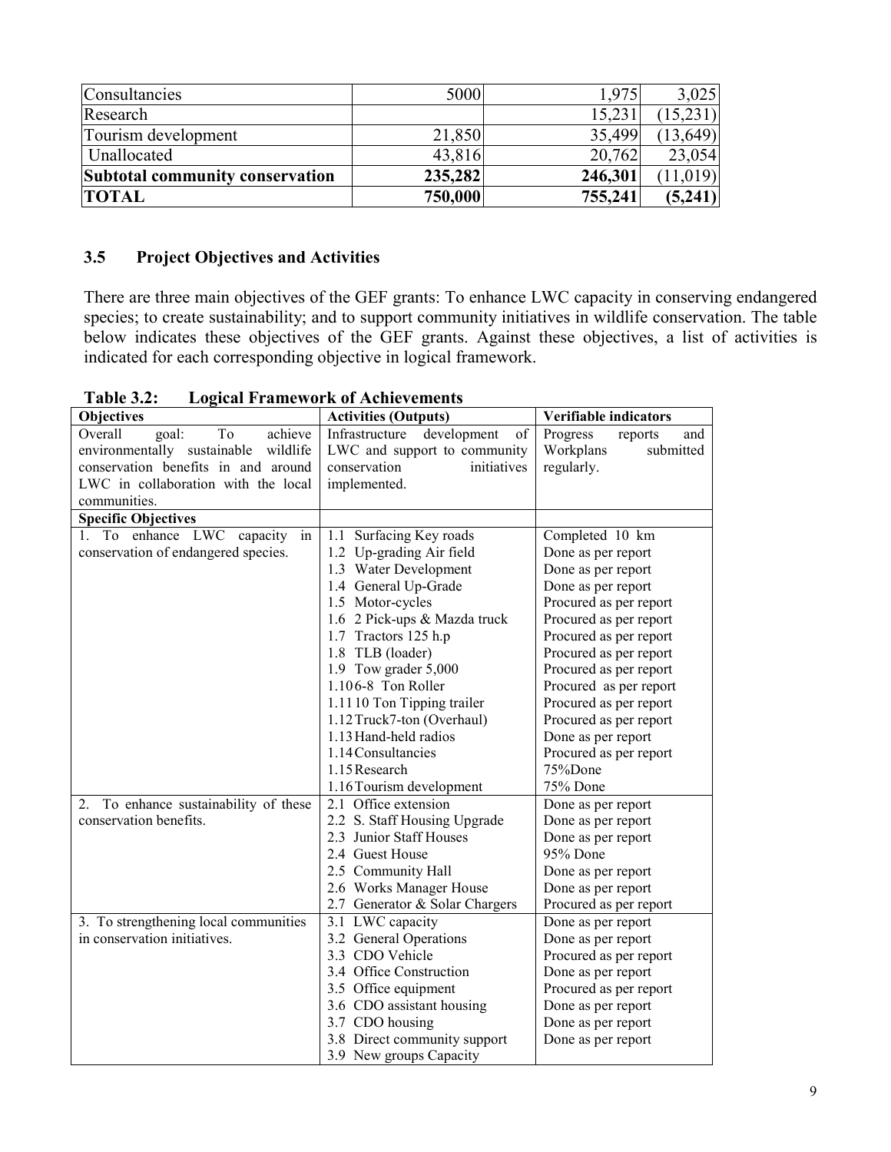| Consultancies                   | 5000    | 1.975   | 3,025     |
|---------------------------------|---------|---------|-----------|
| Research                        |         | 15,231  | (15,231)  |
| Tourism development             | 21,850  | 35,499  | (13, 649) |
| Unallocated                     | 43,816  | 20,762  | 23,054    |
| Subtotal community conservation | 235,282 | 246,301 | (11, 019) |
| <b>TOTAL</b>                    | 750,000 | 755,241 | (5,241)   |

## **3.5 Project Objectives and Activities**

There are three main objectives of the GEF grants: To enhance LWC capacity in conserving endangered species; to create sustainability; and to support community initiatives in wildlife conservation. The table below indicates these objectives of the GEF grants. Against these objectives, a list of activities is indicated for each corresponding objective in logical framework.

|                                               | Logical Pramework of Achievements |                            |
|-----------------------------------------------|-----------------------------------|----------------------------|
| Objectives                                    | <b>Activities (Outputs)</b>       | Verifiable indicators      |
| T <sub>o</sub><br>achieve<br>Overall<br>goal: | Infrastructure development<br>of  | Progress<br>reports<br>and |
| environmentally sustainable wildlife          | LWC and support to community      | Workplans<br>submitted     |
| conservation benefits in and around           | initiatives<br>conservation       | regularly.                 |
| LWC in collaboration with the local           | implemented.                      |                            |
| communities.                                  |                                   |                            |
| <b>Specific Objectives</b>                    |                                   |                            |
| 1. To enhance LWC<br>capacity<br>in           | 1.1 Surfacing Key roads           | Completed 10 km            |
| conservation of endangered species.           | 1.2 Up-grading Air field          | Done as per report         |
|                                               | 1.3 Water Development             | Done as per report         |
|                                               | 1.4 General Up-Grade              | Done as per report         |
|                                               | 1.5 Motor-cycles                  | Procured as per report     |
|                                               | 1.6 2 Pick-ups & Mazda truck      | Procured as per report     |
|                                               | 1.7 Tractors 125 h.p              | Procured as per report     |
|                                               | 1.8 TLB (loader)                  | Procured as per report     |
|                                               | 1.9 Tow grader 5,000              | Procured as per report     |
|                                               | 1.106-8 Ton Roller                | Procured as per report     |
|                                               | 1.1110 Ton Tipping trailer        | Procured as per report     |
|                                               | 1.12 Truck7-ton (Overhaul)        | Procured as per report     |
|                                               | 1.13 Hand-held radios             | Done as per report         |
|                                               | 1.14 Consultancies                | Procured as per report     |
|                                               | 1.15 Research                     | 75%Done                    |
|                                               | 1.16 Tourism development          | 75% Done                   |
| 2. To enhance sustainability of these         | 2.1 Office extension              | Done as per report         |
| conservation benefits.                        | 2.2 S. Staff Housing Upgrade      | Done as per report         |
|                                               | 2.3 Junior Staff Houses           | Done as per report         |
|                                               | 2.4 Guest House                   | 95% Done                   |
|                                               | 2.5 Community Hall                | Done as per report         |
|                                               | 2.6 Works Manager House           | Done as per report         |
|                                               | 2.7 Generator & Solar Chargers    | Procured as per report     |
| 3. To strengthening local communities         | 3.1 LWC capacity                  | Done as per report         |
| in conservation initiatives.                  | 3.2 General Operations            | Done as per report         |
|                                               | 3.3 CDO Vehicle                   | Procured as per report     |
|                                               | 3.4 Office Construction           | Done as per report         |
|                                               | 3.5 Office equipment              | Procured as per report     |
|                                               | 3.6 CDO assistant housing         | Done as per report         |
|                                               | 3.7 CDO housing                   | Done as per report         |
|                                               | 3.8 Direct community support      | Done as per report         |
|                                               | 3.9 New groups Capacity           |                            |

| <b>Table 3.2:</b> |  | <b>Logical Framework of Achievements</b> |
|-------------------|--|------------------------------------------|
|-------------------|--|------------------------------------------|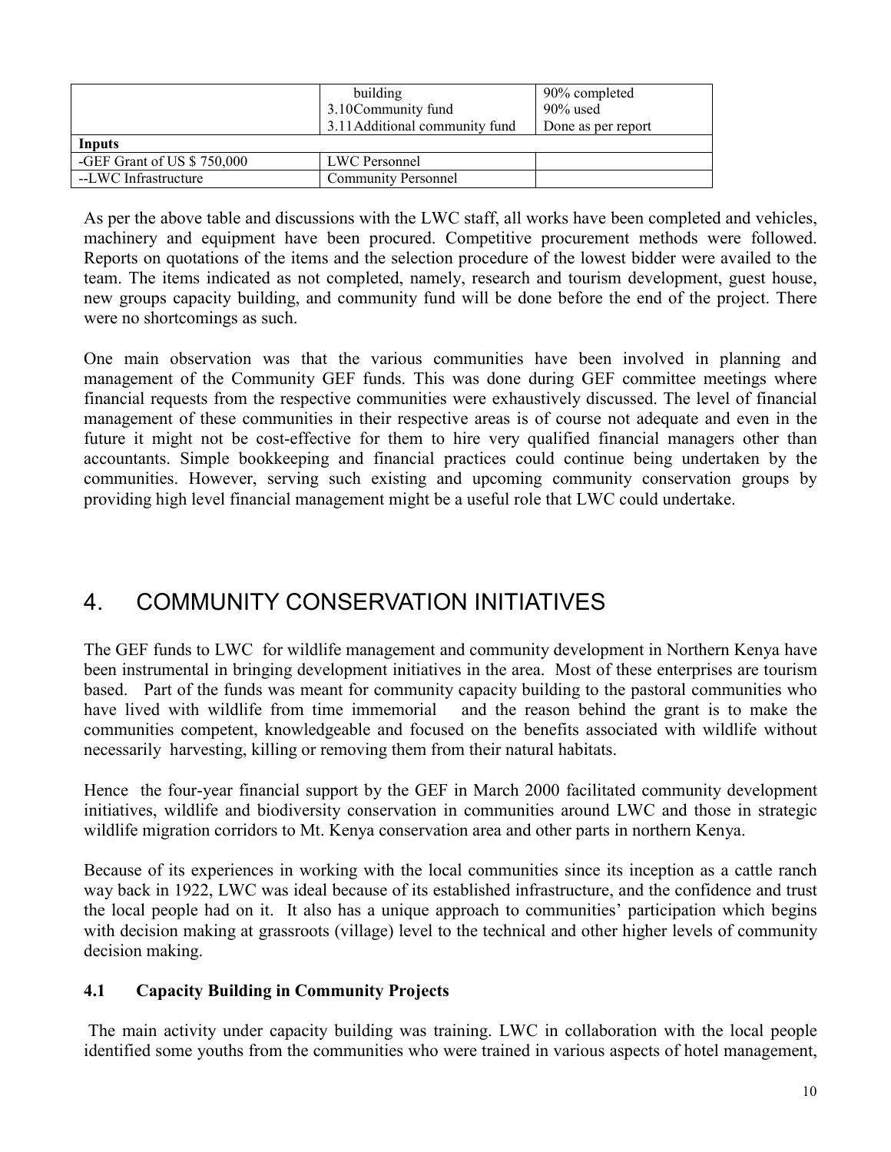|                            | building                       | 90% completed      |
|----------------------------|--------------------------------|--------------------|
|                            | 3.10 Community fund            | $90\%$ used        |
|                            | 3.11 Additional community fund | Done as per report |
| Inputs                     |                                |                    |
| -GEF Grant of US \$750,000 | LWC Personnel                  |                    |
| --LWC Infrastructure       | <b>Community Personnel</b>     |                    |

As per the above table and discussions with the LWC staff, all works have been completed and vehicles, machinery and equipment have been procured. Competitive procurement methods were followed. Reports on quotations of the items and the selection procedure of the lowest bidder were availed to the team. The items indicated as not completed, namely, research and tourism development, guest house, new groups capacity building, and community fund will be done before the end of the project. There were no shortcomings as such.

One main observation was that the various communities have been involved in planning and management of the Community GEF funds. This was done during GEF committee meetings where financial requests from the respective communities were exhaustively discussed. The level of financial management of these communities in their respective areas is of course not adequate and even in the future it might not be cost-effective for them to hire very qualified financial managers other than accountants. Simple bookkeeping and financial practices could continue being undertaken by the communities. However, serving such existing and upcoming community conservation groups by providing high level financial management might be a useful role that LWC could undertake.

# 4. COMMUNITY CONSERVATION INITIATIVES

The GEF funds to LWC for wildlife management and community development in Northern Kenya have been instrumental in bringing development initiatives in the area. Most of these enterprises are tourism based. Part of the funds was meant for community capacity building to the pastoral communities who have lived with wildlife from time immemorial and the reason behind the grant is to make the communities competent, knowledgeable and focused on the benefits associated with wildlife without necessarily harvesting, killing or removing them from their natural habitats.

Hence the four-year financial support by the GEF in March 2000 facilitated community development initiatives, wildlife and biodiversity conservation in communities around LWC and those in strategic wildlife migration corridors to Mt. Kenya conservation area and other parts in northern Kenya.

Because of its experiences in working with the local communities since its inception as a cattle ranch way back in 1922, LWC was ideal because of its established infrastructure, and the confidence and trust the local people had on it. It also has a unique approach to communities' participation which begins with decision making at grassroots (village) level to the technical and other higher levels of community decision making.

## **4.1 Capacity Building in Community Projects**

 The main activity under capacity building was training. LWC in collaboration with the local people identified some youths from the communities who were trained in various aspects of hotel management,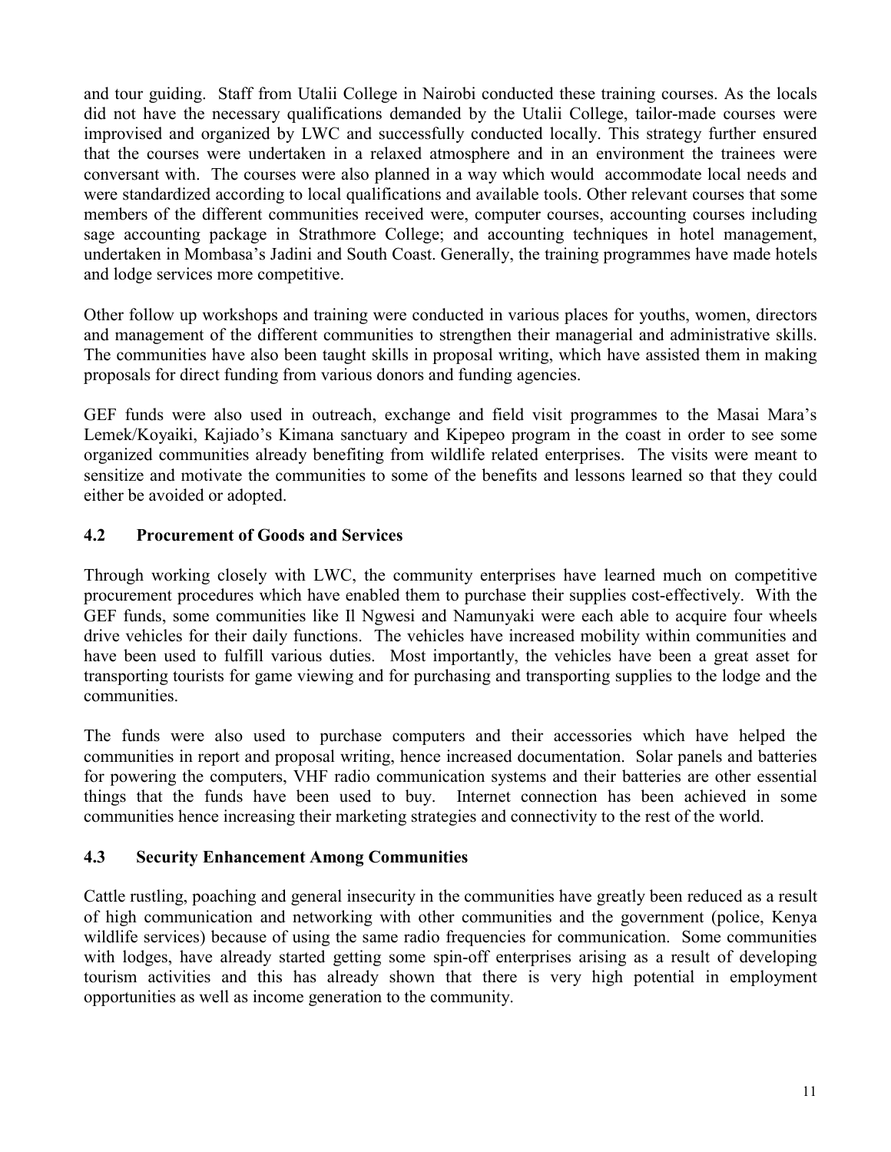and tour guiding. Staff from Utalii College in Nairobi conducted these training courses. As the locals did not have the necessary qualifications demanded by the Utalii College, tailor-made courses were improvised and organized by LWC and successfully conducted locally. This strategy further ensured that the courses were undertaken in a relaxed atmosphere and in an environment the trainees were conversant with. The courses were also planned in a way which would accommodate local needs and were standardized according to local qualifications and available tools. Other relevant courses that some members of the different communities received were, computer courses, accounting courses including sage accounting package in Strathmore College; and accounting techniques in hotel management, undertaken in Mombasa's Jadini and South Coast. Generally, the training programmes have made hotels and lodge services more competitive.

Other follow up workshops and training were conducted in various places for youths, women, directors and management of the different communities to strengthen their managerial and administrative skills. The communities have also been taught skills in proposal writing, which have assisted them in making proposals for direct funding from various donors and funding agencies.

GEF funds were also used in outreach, exchange and field visit programmes to the Masai Mara's Lemek/Koyaiki, Kajiado's Kimana sanctuary and Kipepeo program in the coast in order to see some organized communities already benefiting from wildlife related enterprises. The visits were meant to sensitize and motivate the communities to some of the benefits and lessons learned so that they could either be avoided or adopted.

## **4.2 Procurement of Goods and Services**

Through working closely with LWC, the community enterprises have learned much on competitive procurement procedures which have enabled them to purchase their supplies cost-effectively. With the GEF funds, some communities like Il Ngwesi and Namunyaki were each able to acquire four wheels drive vehicles for their daily functions. The vehicles have increased mobility within communities and have been used to fulfill various duties. Most importantly, the vehicles have been a great asset for transporting tourists for game viewing and for purchasing and transporting supplies to the lodge and the communities.

The funds were also used to purchase computers and their accessories which have helped the communities in report and proposal writing, hence increased documentation. Solar panels and batteries for powering the computers, VHF radio communication systems and their batteries are other essential things that the funds have been used to buy. Internet connection has been achieved in some communities hence increasing their marketing strategies and connectivity to the rest of the world.

## **4.3 Security Enhancement Among Communities**

Cattle rustling, poaching and general insecurity in the communities have greatly been reduced as a result of high communication and networking with other communities and the government (police, Kenya wildlife services) because of using the same radio frequencies for communication. Some communities with lodges, have already started getting some spin-off enterprises arising as a result of developing tourism activities and this has already shown that there is very high potential in employment opportunities as well as income generation to the community.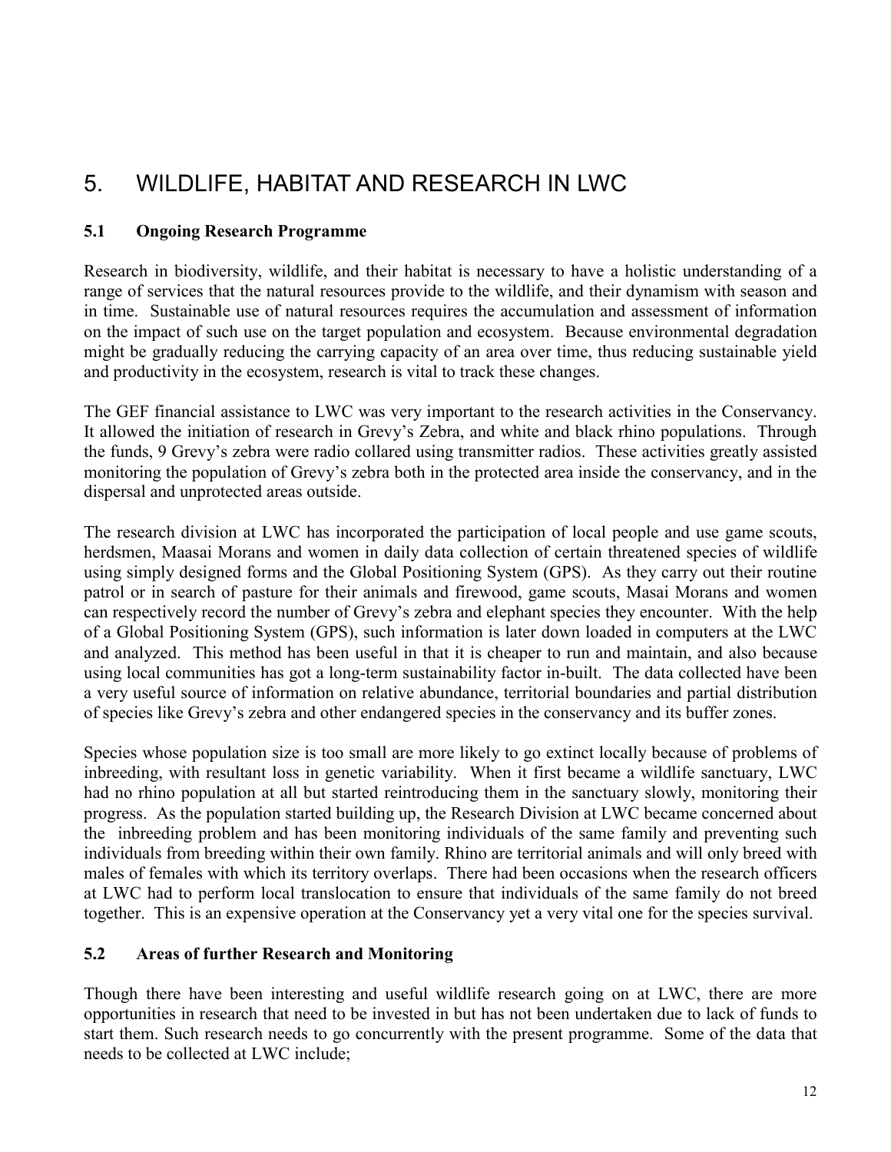# 5. WILDLIFE, HABITAT AND RESEARCH IN LWC

## **5.1 Ongoing Research Programme**

Research in biodiversity, wildlife, and their habitat is necessary to have a holistic understanding of a range of services that the natural resources provide to the wildlife, and their dynamism with season and in time. Sustainable use of natural resources requires the accumulation and assessment of information on the impact of such use on the target population and ecosystem. Because environmental degradation might be gradually reducing the carrying capacity of an area over time, thus reducing sustainable yield and productivity in the ecosystem, research is vital to track these changes.

The GEF financial assistance to LWC was very important to the research activities in the Conservancy. It allowed the initiation of research in Grevy's Zebra, and white and black rhino populations. Through the funds, 9 Grevy's zebra were radio collared using transmitter radios. These activities greatly assisted monitoring the population of Grevy's zebra both in the protected area inside the conservancy, and in the dispersal and unprotected areas outside.

The research division at LWC has incorporated the participation of local people and use game scouts, herdsmen, Maasai Morans and women in daily data collection of certain threatened species of wildlife using simply designed forms and the Global Positioning System (GPS). As they carry out their routine patrol or in search of pasture for their animals and firewood, game scouts, Masai Morans and women can respectively record the number of Grevy's zebra and elephant species they encounter. With the help of a Global Positioning System (GPS), such information is later down loaded in computers at the LWC and analyzed. This method has been useful in that it is cheaper to run and maintain, and also because using local communities has got a long-term sustainability factor in-built. The data collected have been a very useful source of information on relative abundance, territorial boundaries and partial distribution of species like Grevy's zebra and other endangered species in the conservancy and its buffer zones.

Species whose population size is too small are more likely to go extinct locally because of problems of inbreeding, with resultant loss in genetic variability. When it first became a wildlife sanctuary, LWC had no rhino population at all but started reintroducing them in the sanctuary slowly, monitoring their progress. As the population started building up, the Research Division at LWC became concerned about the inbreeding problem and has been monitoring individuals of the same family and preventing such individuals from breeding within their own family. Rhino are territorial animals and will only breed with males of females with which its territory overlaps. There had been occasions when the research officers at LWC had to perform local translocation to ensure that individuals of the same family do not breed together. This is an expensive operation at the Conservancy yet a very vital one for the species survival.

## **5.2 Areas of further Research and Monitoring**

Though there have been interesting and useful wildlife research going on at LWC, there are more opportunities in research that need to be invested in but has not been undertaken due to lack of funds to start them. Such research needs to go concurrently with the present programme. Some of the data that needs to be collected at LWC include;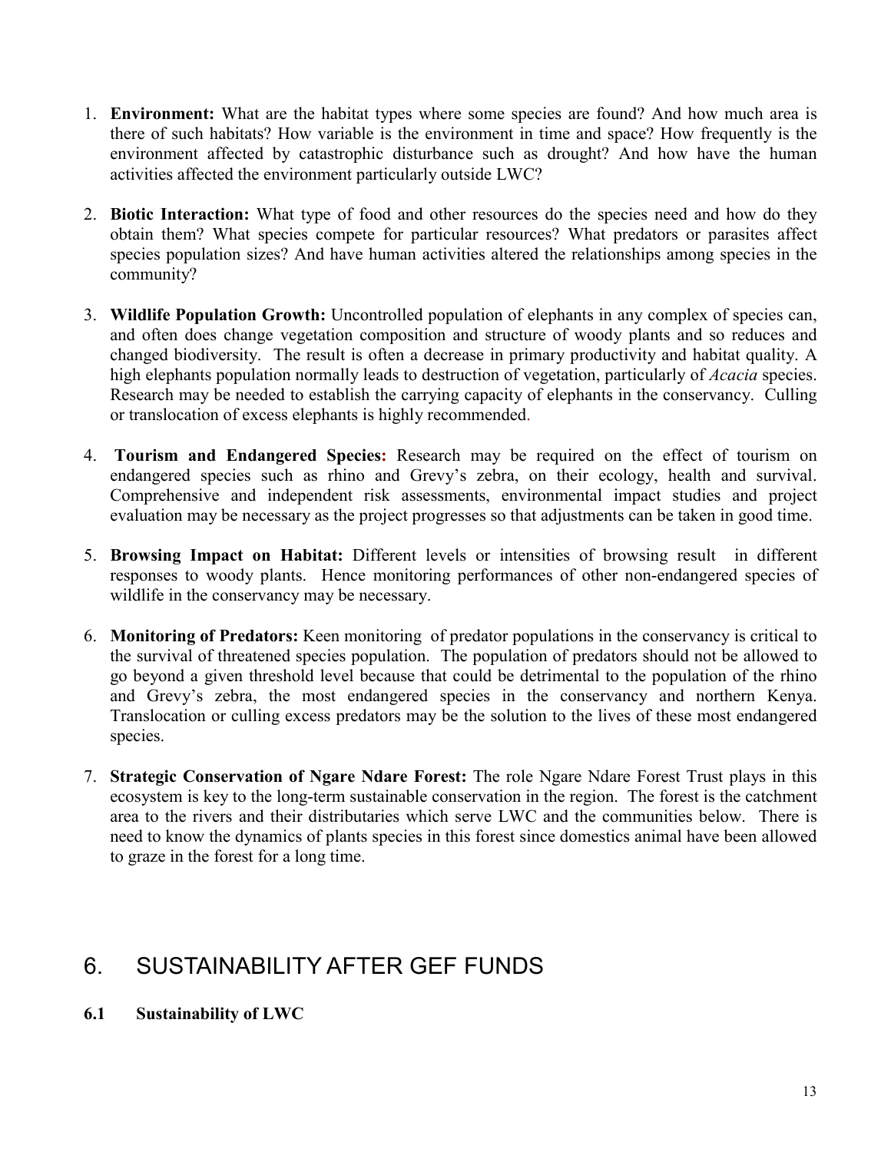- 1. **Environment:** What are the habitat types where some species are found? And how much area is there of such habitats? How variable is the environment in time and space? How frequently is the environment affected by catastrophic disturbance such as drought? And how have the human activities affected the environment particularly outside LWC?
- 2. **Biotic Interaction:** What type of food and other resources do the species need and how do they obtain them? What species compete for particular resources? What predators or parasites affect species population sizes? And have human activities altered the relationships among species in the community?
- 3. **Wildlife Population Growth:** Uncontrolled population of elephants in any complex of species can, and often does change vegetation composition and structure of woody plants and so reduces and changed biodiversity. The result is often a decrease in primary productivity and habitat quality. A high elephants population normally leads to destruction of vegetation, particularly of *Acacia* species. Research may be needed to establish the carrying capacity of elephants in the conservancy. Culling or translocation of excess elephants is highly recommended.
- 4. **Tourism and Endangered Species:** Research may be required on the effect of tourism on endangered species such as rhino and Grevy's zebra, on their ecology, health and survival. Comprehensive and independent risk assessments, environmental impact studies and project evaluation may be necessary as the project progresses so that adjustments can be taken in good time.
- 5. **Browsing Impact on Habitat:** Different levels or intensities of browsing result in different responses to woody plants. Hence monitoring performances of other non-endangered species of wildlife in the conservancy may be necessary.
- 6. **Monitoring of Predators:** Keen monitoring of predator populations in the conservancy is critical to the survival of threatened species population. The population of predators should not be allowed to go beyond a given threshold level because that could be detrimental to the population of the rhino and Grevy's zebra, the most endangered species in the conservancy and northern Kenya. Translocation or culling excess predators may be the solution to the lives of these most endangered species.
- 7. **Strategic Conservation of Ngare Ndare Forest:** The role Ngare Ndare Forest Trust plays in this ecosystem is key to the long-term sustainable conservation in the region. The forest is the catchment area to the rivers and their distributaries which serve LWC and the communities below. There is need to know the dynamics of plants species in this forest since domestics animal have been allowed to graze in the forest for a long time.

# 6. SUSTAINABILITY AFTER GEF FUNDS

## **6.1 Sustainability of LWC**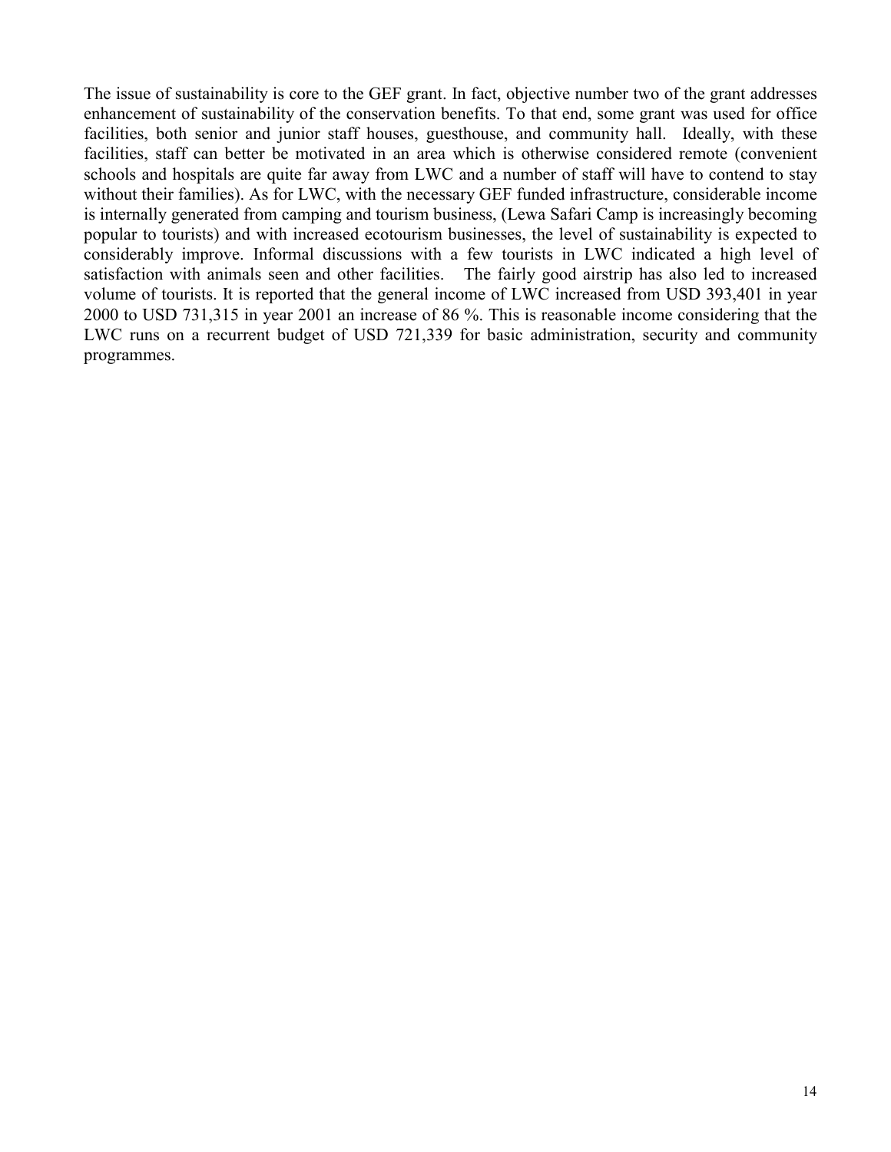The issue of sustainability is core to the GEF grant. In fact, objective number two of the grant addresses enhancement of sustainability of the conservation benefits. To that end, some grant was used for office facilities, both senior and junior staff houses, guesthouse, and community hall. Ideally, with these facilities, staff can better be motivated in an area which is otherwise considered remote (convenient schools and hospitals are quite far away from LWC and a number of staff will have to contend to stay without their families). As for LWC, with the necessary GEF funded infrastructure, considerable income is internally generated from camping and tourism business, (Lewa Safari Camp is increasingly becoming popular to tourists) and with increased ecotourism businesses, the level of sustainability is expected to considerably improve. Informal discussions with a few tourists in LWC indicated a high level of satisfaction with animals seen and other facilities. The fairly good airstrip has also led to increased volume of tourists. It is reported that the general income of LWC increased from USD 393,401 in year 2000 to USD 731,315 in year 2001 an increase of 86 %. This is reasonable income considering that the LWC runs on a recurrent budget of USD 721,339 for basic administration, security and community programmes.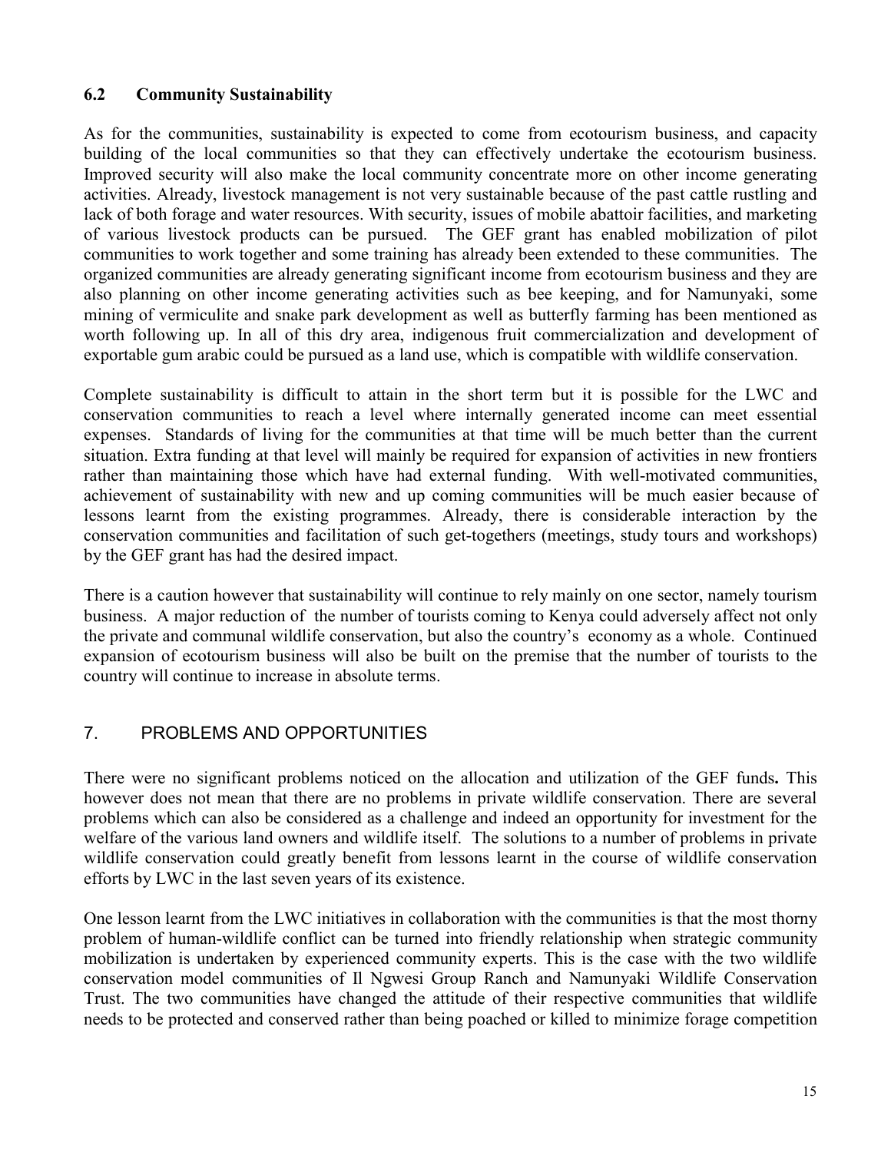## **6.2 Community Sustainability**

As for the communities, sustainability is expected to come from ecotourism business, and capacity building of the local communities so that they can effectively undertake the ecotourism business. Improved security will also make the local community concentrate more on other income generating activities. Already, livestock management is not very sustainable because of the past cattle rustling and lack of both forage and water resources. With security, issues of mobile abattoir facilities, and marketing of various livestock products can be pursued. The GEF grant has enabled mobilization of pilot communities to work together and some training has already been extended to these communities. The organized communities are already generating significant income from ecotourism business and they are also planning on other income generating activities such as bee keeping, and for Namunyaki, some mining of vermiculite and snake park development as well as butterfly farming has been mentioned as worth following up. In all of this dry area, indigenous fruit commercialization and development of exportable gum arabic could be pursued as a land use, which is compatible with wildlife conservation.

Complete sustainability is difficult to attain in the short term but it is possible for the LWC and conservation communities to reach a level where internally generated income can meet essential expenses. Standards of living for the communities at that time will be much better than the current situation. Extra funding at that level will mainly be required for expansion of activities in new frontiers rather than maintaining those which have had external funding. With well-motivated communities, achievement of sustainability with new and up coming communities will be much easier because of lessons learnt from the existing programmes. Already, there is considerable interaction by the conservation communities and facilitation of such get-togethers (meetings, study tours and workshops) by the GEF grant has had the desired impact.

There is a caution however that sustainability will continue to rely mainly on one sector, namely tourism business. A major reduction of the number of tourists coming to Kenya could adversely affect not only the private and communal wildlife conservation, but also the country's economy as a whole. Continued expansion of ecotourism business will also be built on the premise that the number of tourists to the country will continue to increase in absolute terms.

## 7. PROBLEMS AND OPPORTUNITIES

There were no significant problems noticed on the allocation and utilization of the GEF funds**.** This however does not mean that there are no problems in private wildlife conservation. There are several problems which can also be considered as a challenge and indeed an opportunity for investment for the welfare of the various land owners and wildlife itself. The solutions to a number of problems in private wildlife conservation could greatly benefit from lessons learnt in the course of wildlife conservation efforts by LWC in the last seven years of its existence.

One lesson learnt from the LWC initiatives in collaboration with the communities is that the most thorny problem of human-wildlife conflict can be turned into friendly relationship when strategic community mobilization is undertaken by experienced community experts. This is the case with the two wildlife conservation model communities of Il Ngwesi Group Ranch and Namunyaki Wildlife Conservation Trust. The two communities have changed the attitude of their respective communities that wildlife needs to be protected and conserved rather than being poached or killed to minimize forage competition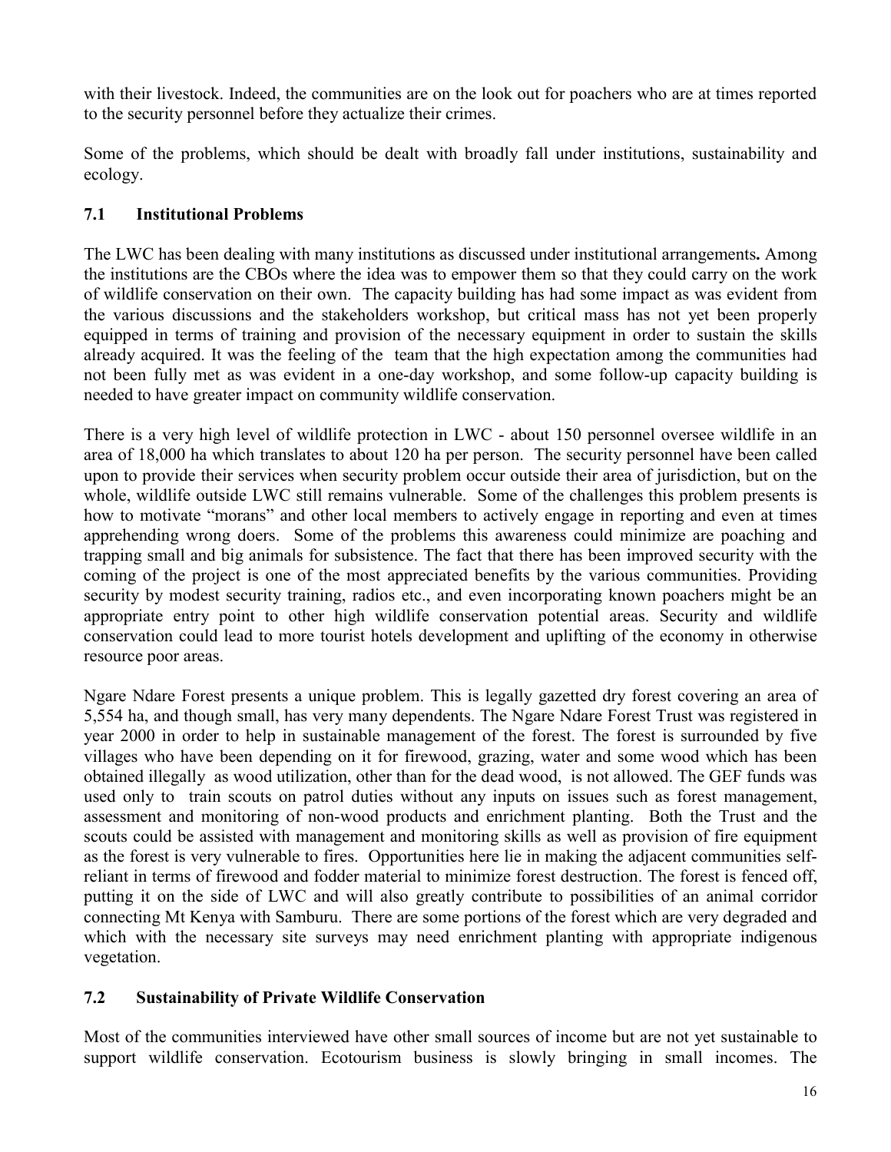with their livestock. Indeed, the communities are on the look out for poachers who are at times reported to the security personnel before they actualize their crimes.

Some of the problems, which should be dealt with broadly fall under institutions, sustainability and ecology.

## **7.1 Institutional Problems**

The LWC has been dealing with many institutions as discussed under institutional arrangements**.** Among the institutions are the CBOs where the idea was to empower them so that they could carry on the work of wildlife conservation on their own. The capacity building has had some impact as was evident from the various discussions and the stakeholders workshop, but critical mass has not yet been properly equipped in terms of training and provision of the necessary equipment in order to sustain the skills already acquired. It was the feeling of the team that the high expectation among the communities had not been fully met as was evident in a one-day workshop, and some follow-up capacity building is needed to have greater impact on community wildlife conservation.

There is a very high level of wildlife protection in LWC - about 150 personnel oversee wildlife in an area of 18,000 ha which translates to about 120 ha per person. The security personnel have been called upon to provide their services when security problem occur outside their area of jurisdiction, but on the whole, wildlife outside LWC still remains vulnerable. Some of the challenges this problem presents is how to motivate "morans" and other local members to actively engage in reporting and even at times apprehending wrong doers. Some of the problems this awareness could minimize are poaching and trapping small and big animals for subsistence. The fact that there has been improved security with the coming of the project is one of the most appreciated benefits by the various communities. Providing security by modest security training, radios etc., and even incorporating known poachers might be an appropriate entry point to other high wildlife conservation potential areas. Security and wildlife conservation could lead to more tourist hotels development and uplifting of the economy in otherwise resource poor areas.

Ngare Ndare Forest presents a unique problem. This is legally gazetted dry forest covering an area of 5,554 ha, and though small, has very many dependents. The Ngare Ndare Forest Trust was registered in year 2000 in order to help in sustainable management of the forest. The forest is surrounded by five villages who have been depending on it for firewood, grazing, water and some wood which has been obtained illegally as wood utilization, other than for the dead wood, is not allowed. The GEF funds was used only to train scouts on patrol duties without any inputs on issues such as forest management, assessment and monitoring of non-wood products and enrichment planting. Both the Trust and the scouts could be assisted with management and monitoring skills as well as provision of fire equipment as the forest is very vulnerable to fires. Opportunities here lie in making the adjacent communities selfreliant in terms of firewood and fodder material to minimize forest destruction. The forest is fenced off, putting it on the side of LWC and will also greatly contribute to possibilities of an animal corridor connecting Mt Kenya with Samburu. There are some portions of the forest which are very degraded and which with the necessary site surveys may need enrichment planting with appropriate indigenous vegetation.

## **7.2 Sustainability of Private Wildlife Conservation**

Most of the communities interviewed have other small sources of income but are not yet sustainable to support wildlife conservation. Ecotourism business is slowly bringing in small incomes. The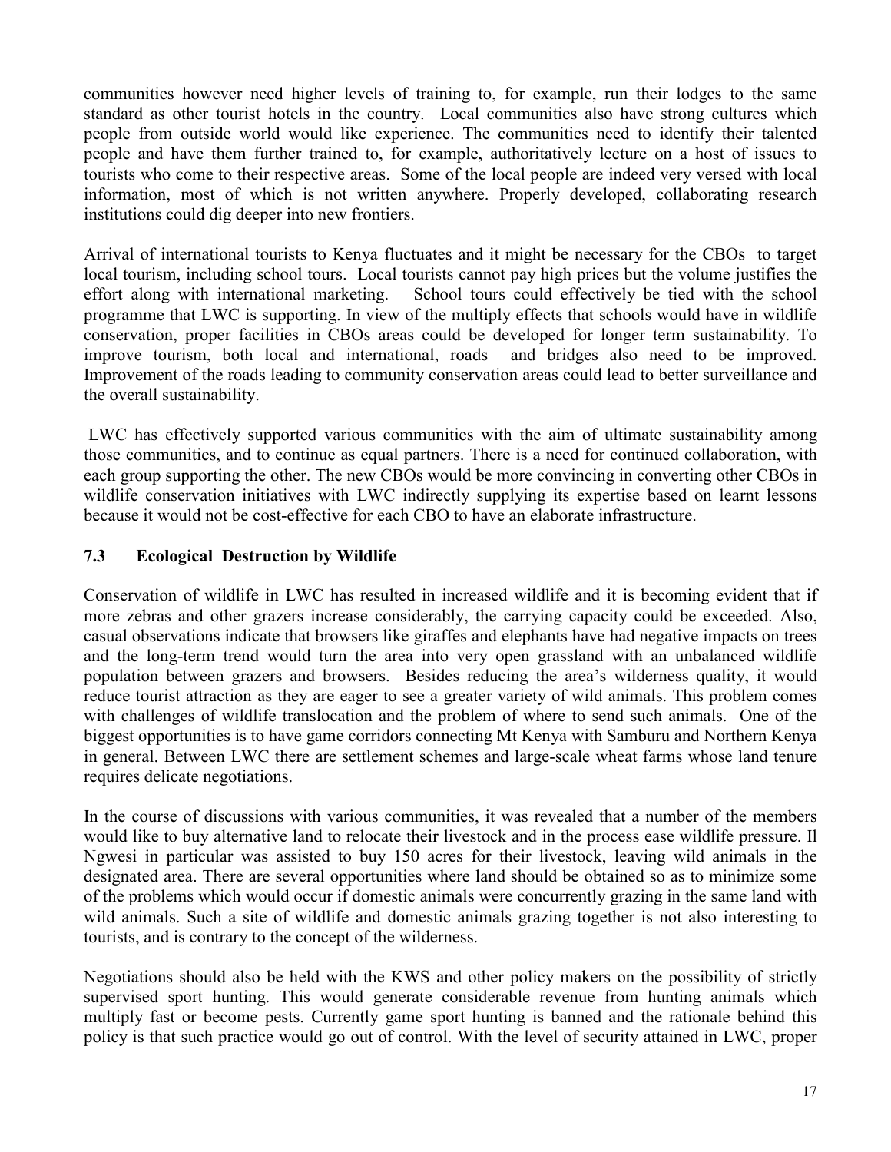communities however need higher levels of training to, for example, run their lodges to the same standard as other tourist hotels in the country. Local communities also have strong cultures which people from outside world would like experience. The communities need to identify their talented people and have them further trained to, for example, authoritatively lecture on a host of issues to tourists who come to their respective areas. Some of the local people are indeed very versed with local information, most of which is not written anywhere. Properly developed, collaborating research institutions could dig deeper into new frontiers.

Arrival of international tourists to Kenya fluctuates and it might be necessary for the CBOs to target local tourism, including school tours. Local tourists cannot pay high prices but the volume justifies the effort along with international marketing. School tours could effectively be tied with the school programme that LWC is supporting. In view of the multiply effects that schools would have in wildlife conservation, proper facilities in CBOs areas could be developed for longer term sustainability. To improve tourism, both local and international, roads and bridges also need to be improved. Improvement of the roads leading to community conservation areas could lead to better surveillance and the overall sustainability.

 LWC has effectively supported various communities with the aim of ultimate sustainability among those communities, and to continue as equal partners. There is a need for continued collaboration, with each group supporting the other. The new CBOs would be more convincing in converting other CBOs in wildlife conservation initiatives with LWC indirectly supplying its expertise based on learnt lessons because it would not be cost-effective for each CBO to have an elaborate infrastructure.

## **7.3 Ecological Destruction by Wildlife**

Conservation of wildlife in LWC has resulted in increased wildlife and it is becoming evident that if more zebras and other grazers increase considerably, the carrying capacity could be exceeded. Also, casual observations indicate that browsers like giraffes and elephants have had negative impacts on trees and the long-term trend would turn the area into very open grassland with an unbalanced wildlife population between grazers and browsers. Besides reducing the area's wilderness quality, it would reduce tourist attraction as they are eager to see a greater variety of wild animals. This problem comes with challenges of wildlife translocation and the problem of where to send such animals. One of the biggest opportunities is to have game corridors connecting Mt Kenya with Samburu and Northern Kenya in general. Between LWC there are settlement schemes and large-scale wheat farms whose land tenure requires delicate negotiations.

In the course of discussions with various communities, it was revealed that a number of the members would like to buy alternative land to relocate their livestock and in the process ease wildlife pressure. Il Ngwesi in particular was assisted to buy 150 acres for their livestock, leaving wild animals in the designated area. There are several opportunities where land should be obtained so as to minimize some of the problems which would occur if domestic animals were concurrently grazing in the same land with wild animals. Such a site of wildlife and domestic animals grazing together is not also interesting to tourists, and is contrary to the concept of the wilderness.

Negotiations should also be held with the KWS and other policy makers on the possibility of strictly supervised sport hunting. This would generate considerable revenue from hunting animals which multiply fast or become pests. Currently game sport hunting is banned and the rationale behind this policy is that such practice would go out of control. With the level of security attained in LWC, proper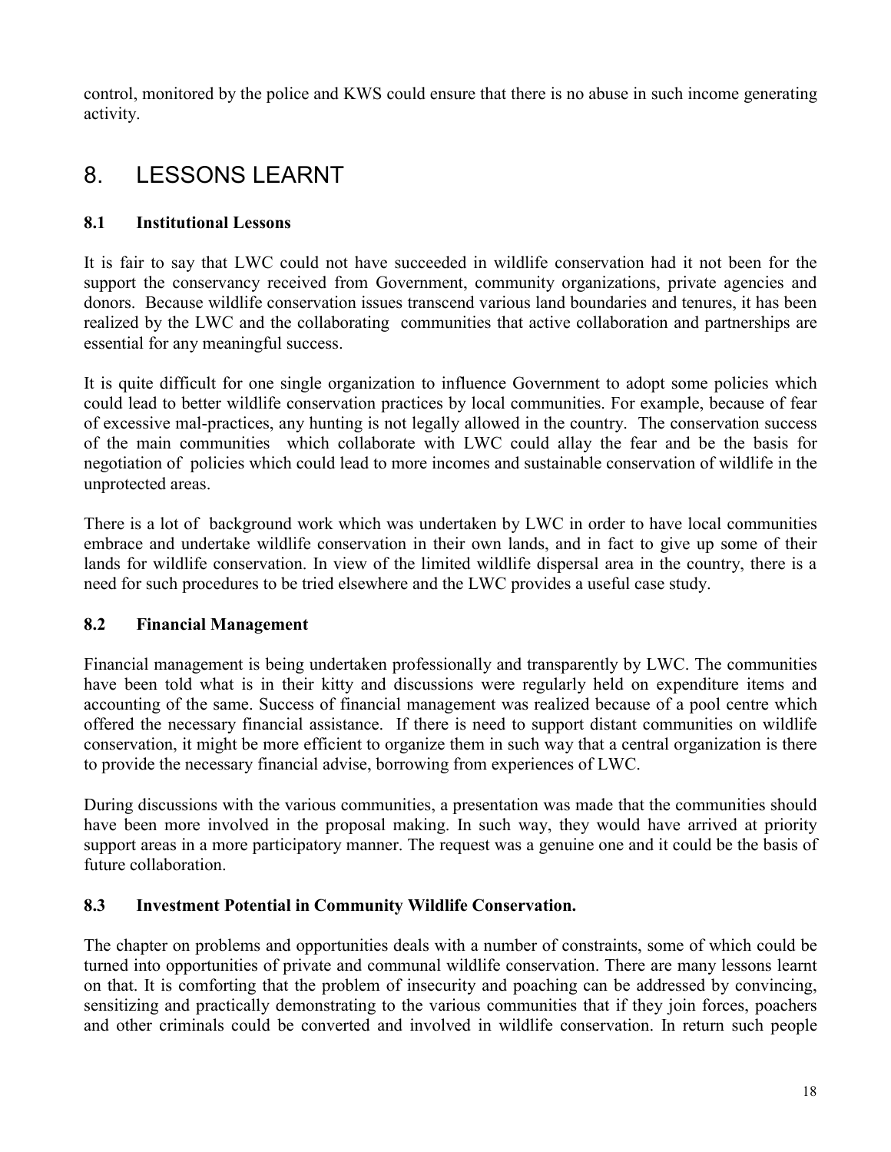control, monitored by the police and KWS could ensure that there is no abuse in such income generating activity.

# 8. LESSONS LEARNT

## **8.1 Institutional Lessons**

It is fair to say that LWC could not have succeeded in wildlife conservation had it not been for the support the conservancy received from Government, community organizations, private agencies and donors. Because wildlife conservation issues transcend various land boundaries and tenures, it has been realized by the LWC and the collaborating communities that active collaboration and partnerships are essential for any meaningful success.

It is quite difficult for one single organization to influence Government to adopt some policies which could lead to better wildlife conservation practices by local communities. For example, because of fear of excessive mal-practices, any hunting is not legally allowed in the country. The conservation success of the main communities which collaborate with LWC could allay the fear and be the basis for negotiation of policies which could lead to more incomes and sustainable conservation of wildlife in the unprotected areas.

There is a lot of background work which was undertaken by LWC in order to have local communities embrace and undertake wildlife conservation in their own lands, and in fact to give up some of their lands for wildlife conservation. In view of the limited wildlife dispersal area in the country, there is a need for such procedures to be tried elsewhere and the LWC provides a useful case study.

## **8.2 Financial Management**

Financial management is being undertaken professionally and transparently by LWC. The communities have been told what is in their kitty and discussions were regularly held on expenditure items and accounting of the same. Success of financial management was realized because of a pool centre which offered the necessary financial assistance. If there is need to support distant communities on wildlife conservation, it might be more efficient to organize them in such way that a central organization is there to provide the necessary financial advise, borrowing from experiences of LWC.

During discussions with the various communities, a presentation was made that the communities should have been more involved in the proposal making. In such way, they would have arrived at priority support areas in a more participatory manner. The request was a genuine one and it could be the basis of future collaboration.

## **8.3 Investment Potential in Community Wildlife Conservation.**

The chapter on problems and opportunities deals with a number of constraints, some of which could be turned into opportunities of private and communal wildlife conservation. There are many lessons learnt on that. It is comforting that the problem of insecurity and poaching can be addressed by convincing, sensitizing and practically demonstrating to the various communities that if they join forces, poachers and other criminals could be converted and involved in wildlife conservation. In return such people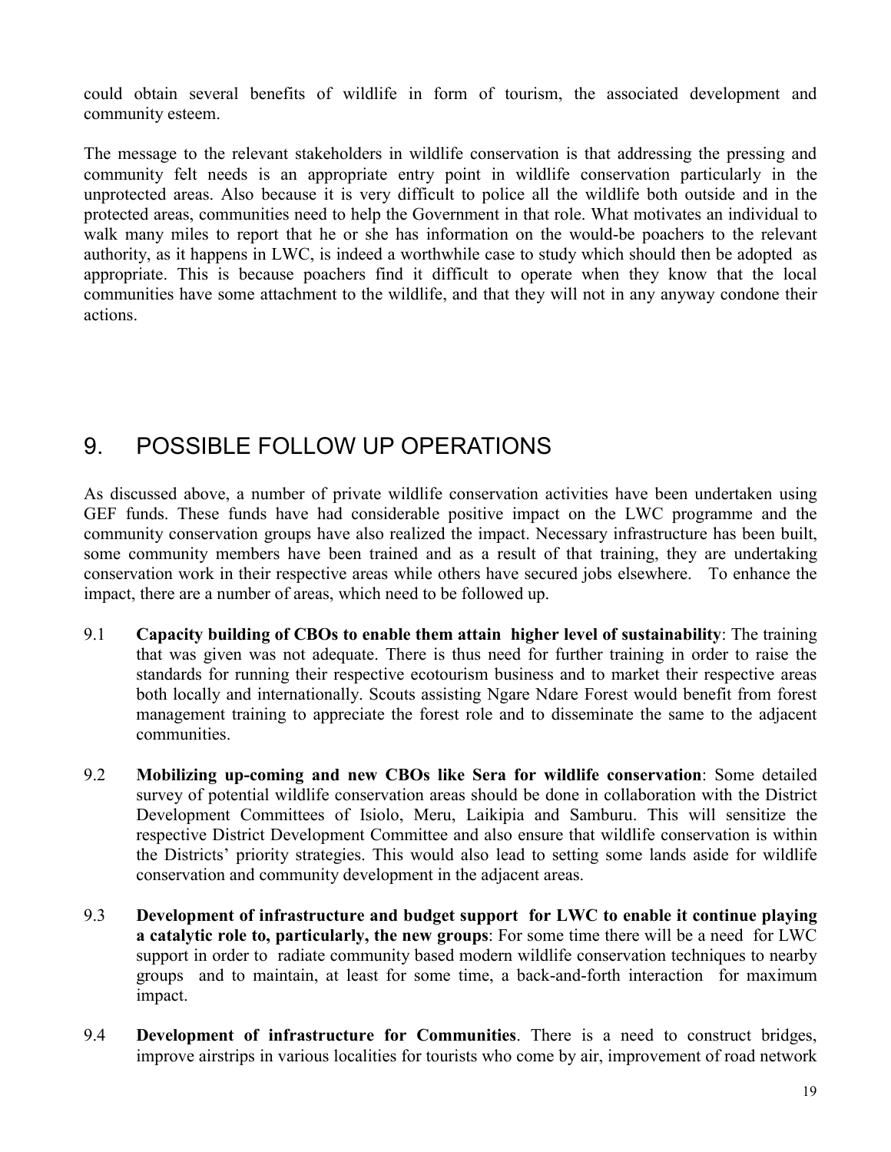could obtain several benefits of wildlife in form of tourism, the associated development and community esteem.

The message to the relevant stakeholders in wildlife conservation is that addressing the pressing and community felt needs is an appropriate entry point in wildlife conservation particularly in the unprotected areas. Also because it is very difficult to police all the wildlife both outside and in the protected areas, communities need to help the Government in that role. What motivates an individual to walk many miles to report that he or she has information on the would-be poachers to the relevant authority, as it happens in LWC, is indeed a worthwhile case to study which should then be adopted as appropriate. This is because poachers find it difficult to operate when they know that the local communities have some attachment to the wildlife, and that they will not in any anyway condone their actions.

# 9. POSSIBLE FOLLOW UP OPERATIONS

As discussed above, a number of private wildlife conservation activities have been undertaken using GEF funds. These funds have had considerable positive impact on the LWC programme and the community conservation groups have also realized the impact. Necessary infrastructure has been built, some community members have been trained and as a result of that training, they are undertaking conservation work in their respective areas while others have secured jobs elsewhere. To enhance the impact, there are a number of areas, which need to be followed up.

- 9.1 **Capacity building of CBOs to enable them attain higher level of sustainability**: The training that was given was not adequate. There is thus need for further training in order to raise the standards for running their respective ecotourism business and to market their respective areas both locally and internationally. Scouts assisting Ngare Ndare Forest would benefit from forest management training to appreciate the forest role and to disseminate the same to the adjacent communities.
- 9.2 **Mobilizing up-coming and new CBOs like Sera for wildlife conservation**: Some detailed survey of potential wildlife conservation areas should be done in collaboration with the District Development Committees of Isiolo, Meru, Laikipia and Samburu. This will sensitize the respective District Development Committee and also ensure that wildlife conservation is within the Districts' priority strategies. This would also lead to setting some lands aside for wildlife conservation and community development in the adjacent areas.
- 9.3 **Development of infrastructure and budget support for LWC to enable it continue playing a catalytic role to, particularly, the new groups**: For some time there will be a need for LWC support in order to radiate community based modern wildlife conservation techniques to nearby groups and to maintain, at least for some time, a back-and-forth interaction for maximum impact.
- 9.4 **Development of infrastructure for Communities**. There is a need to construct bridges, improve airstrips in various localities for tourists who come by air, improvement of road network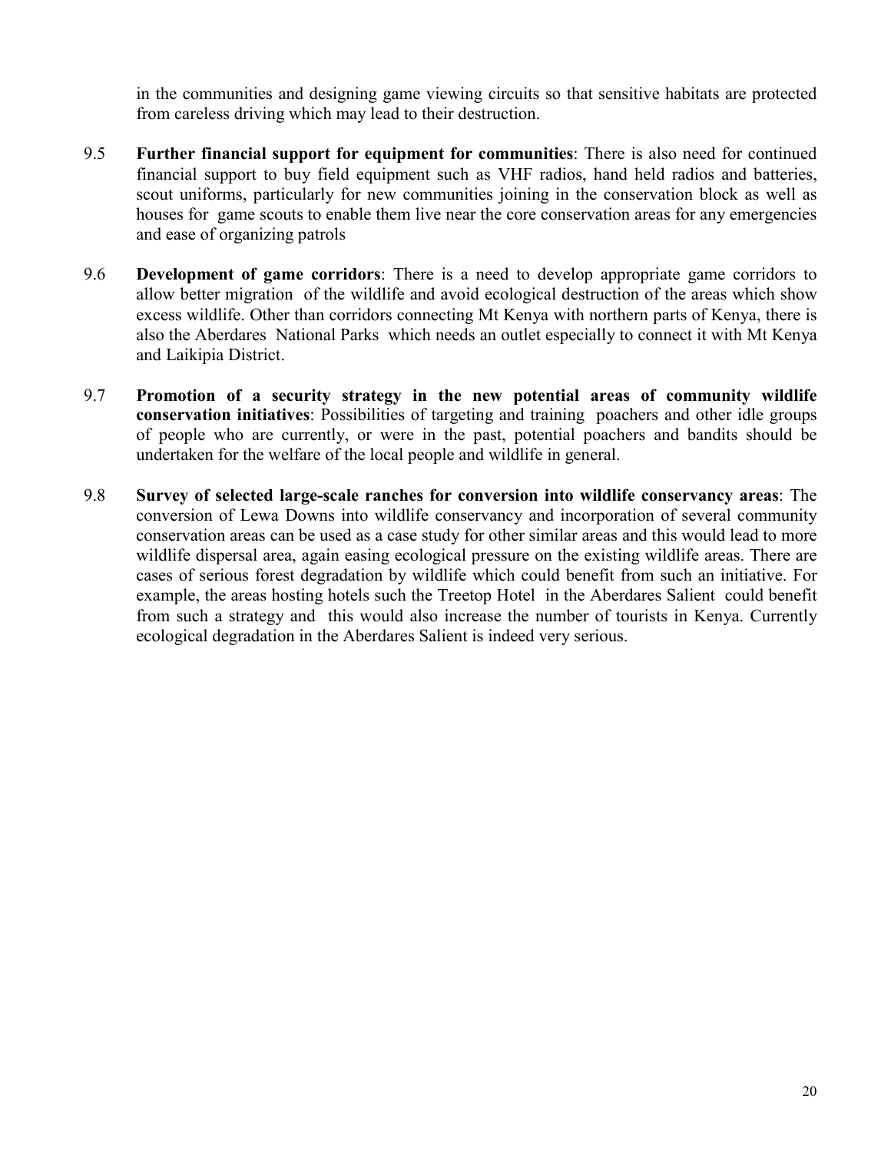in the communities and designing game viewing circuits so that sensitive habitats are protected from careless driving which may lead to their destruction.

- 9.5 **Further financial support for equipment for communities**: There is also need for continued financial support to buy field equipment such as VHF radios, hand held radios and batteries, scout uniforms, particularly for new communities joining in the conservation block as well as houses for game scouts to enable them live near the core conservation areas for any emergencies and ease of organizing patrols
- 9.6 **Development of game corridors**: There is a need to develop appropriate game corridors to allow better migration of the wildlife and avoid ecological destruction of the areas which show excess wildlife. Other than corridors connecting Mt Kenya with northern parts of Kenya, there is also the Aberdares National Parks which needs an outlet especially to connect it with Mt Kenya and Laikipia District.
- 9.7 **Promotion of a security strategy in the new potential areas of community wildlife conservation initiatives**: Possibilities of targeting and training poachers and other idle groups of people who are currently, or were in the past, potential poachers and bandits should be undertaken for the welfare of the local people and wildlife in general.
- 9.8 **Survey of selected large-scale ranches for conversion into wildlife conservancy areas**: The conversion of Lewa Downs into wildlife conservancy and incorporation of several community conservation areas can be used as a case study for other similar areas and this would lead to more wildlife dispersal area, again easing ecological pressure on the existing wildlife areas. There are cases of serious forest degradation by wildlife which could benefit from such an initiative. For example, the areas hosting hotels such the Treetop Hotel in the Aberdares Salient could benefit from such a strategy and this would also increase the number of tourists in Kenya. Currently ecological degradation in the Aberdares Salient is indeed very serious.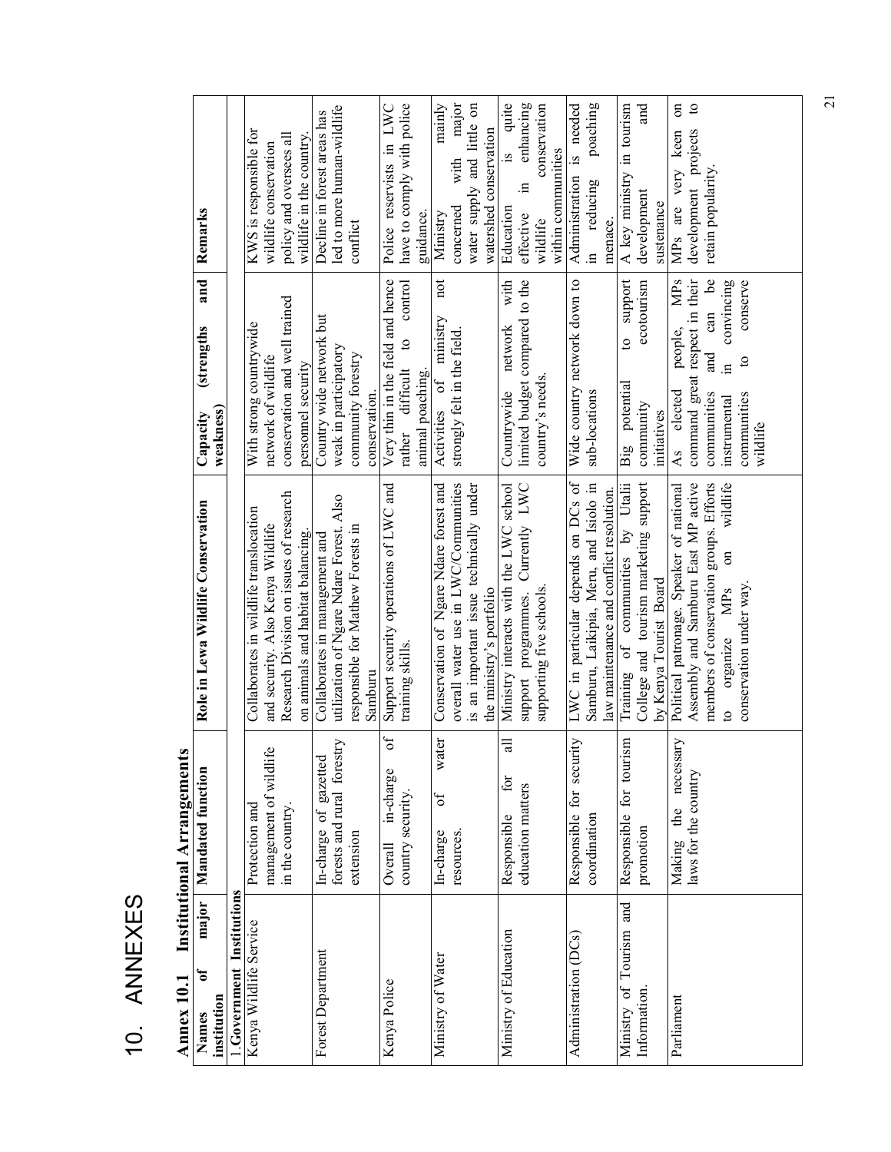| J |
|---|
|   |
|   |
|   |
| J |
|   |
|   |

| <b>SUNNEXES</b> | nstitutional Arrangements |
|-----------------|---------------------------|
|                 |                           |
|                 | Annex 10.                 |

| major<br>ัธ<br>institution<br>Names | Mandated function             | Role in Lewa Wildlife Conservation                                             | and<br>(strengths<br>weakness)<br>Capacity                     | Remarks                                                    |
|-------------------------------------|-------------------------------|--------------------------------------------------------------------------------|----------------------------------------------------------------|------------------------------------------------------------|
| Government Institutions             |                               |                                                                                |                                                                |                                                            |
| Kenya Wildlife Service              | Protection and                | Collaborates in wildlife translocation                                         | With strong countrywide                                        | KWS is responsible for                                     |
|                                     | management of wildlife        | and security. Also Kenya Wildlife                                              | network of wildlife                                            | wildlife conservation                                      |
|                                     | in the country.               | Research Division on issues of research                                        | conservation and well trained                                  | policy and oversees all                                    |
|                                     |                               | on animals and habitat balancing.                                              | personnel security                                             | wildlife in the country                                    |
| Forest Department                   | gazetted<br>In-charge of      | Collaborates in management and                                                 | Country wide network but                                       | Decline in forest areas has                                |
|                                     | Ŋ<br>forests and rural forest | utilization of Ngare Ndare Forest. Also                                        | weak in participatory                                          | led to more human-wildlife                                 |
|                                     | extension                     | responsible for Mathew Forests in                                              | community forestry                                             | conflict                                                   |
|                                     |                               | Samburu                                                                        | conservation.                                                  |                                                            |
| Kenya Police                        | ъ<br>in-charge<br>Overall     | Support security operations of LWC and                                         | Very thin in the field and hence                               | Police reservists in LWC                                   |
|                                     | country security              | training skills.                                                               | control<br>$\mathbf{c}$<br>rather difficult                    | have to comply with police                                 |
|                                     |                               |                                                                                | animal poaching                                                | guidance.                                                  |
| Ministry of Water                   | water<br>ъÓ<br>In-charge      | Conservation of Ngare Ndare forest and                                         | not<br>ministry<br>Activities of                               | mainly<br>Ministry                                         |
|                                     | resources.                    | overall water use in LWC/Communities                                           | strongly felt in the field.                                    | major<br>with<br>concerned                                 |
|                                     |                               | is an important issue technically under                                        |                                                                | water supply and little on                                 |
|                                     |                               | the ministry's portfolio                                                       |                                                                | watershed conservation                                     |
| Ministry of Education               | 금<br>for<br>Responsible       | Ministry interacts with the LWC school                                         | with<br>network<br>Countrywide                                 | quite<br>$\overline{\mathbf{s}}$<br>Education              |
|                                     | education matters             | Currently LWC<br>support programmes.                                           | limited budget compared to the                                 | enhancing<br>$\Xi$<br>effective                            |
|                                     |                               | supporting five schools.                                                       | country's needs.                                               | conservation<br>wildlife                                   |
|                                     |                               |                                                                                |                                                                | within communities                                         |
| Administration (DCs)                | Ř<br>Responsible for securi   | LWC in particular depends on DCs of                                            | Wide country network down to                                   | is needed<br>Administration                                |
|                                     | coordination                  | Samburu, Laikipia, Meru, and Isiolo in                                         | sub-locations                                                  | poaching<br>reducing<br>$\Xi$                              |
|                                     |                               | law maintenance and conflict resolution.                                       |                                                                | menace.                                                    |
| and<br>Ministry of Tourism          | for tourism<br>Responsible    | Training of communities by Utalii                                              | support<br>$\mathbf{c}$<br>potential<br>Big                    | A key ministry in tourism                                  |
| Information                         | promotion                     | College and tourism marketing support                                          | ecotourism<br>community                                        | and<br>development                                         |
|                                     |                               | by Kenya Tourist Board                                                         | initiatives                                                    | sustenance                                                 |
| Parliament                          | necessary<br>the<br>Making    | Political patronage. Speaker of national                                       | MP <sub>s</sub><br>people,<br>elected<br>As                    | $\overline{a}$<br>MPs are very keen                        |
|                                     | laws for the country          | Assembly and Samburu East MP active<br>members of conservation groups. Efforts | command great respect in their<br>can be<br>and<br>communities | $\mathbf{c}$<br>development projects<br>retain popularity. |
|                                     |                               | wildlife<br>$\overline{\mathrm{m}}$<br>organize MPs<br>$\overline{c}$          | convincing<br>$\Xi$<br>instrumental                            |                                                            |
|                                     |                               | conservation under way                                                         | conserve<br>$\mathbf{c}$<br>communities<br>wildlife            |                                                            |
|                                     |                               |                                                                                |                                                                |                                                            |

21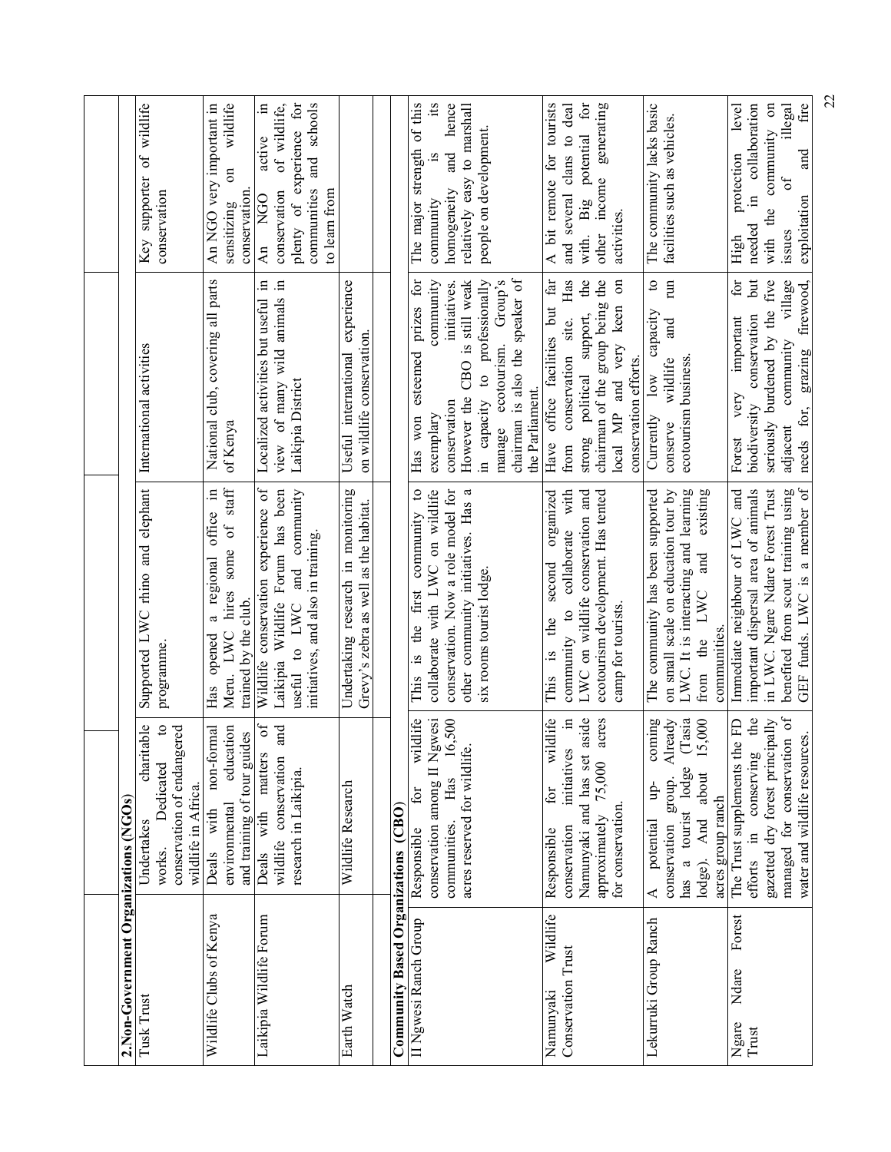| 2. Non-Government Organizations (NGOs) |                                                                                                                      |                                                                                                                                                       |                                                                                         |                                                                                                                                      |
|----------------------------------------|----------------------------------------------------------------------------------------------------------------------|-------------------------------------------------------------------------------------------------------------------------------------------------------|-----------------------------------------------------------------------------------------|--------------------------------------------------------------------------------------------------------------------------------------|
| Tusk Trust                             | charitable<br>$\mathbf{c}$<br>conservation of endangered<br>Dedicated<br>wildlife in Africa.<br>Undertakes<br>works. | Supported LWC rhino and elephant<br>programme                                                                                                         | International activities                                                                | Key supporter of wildlife<br>conservation                                                                                            |
| Wildlife Clubs of Kenya                | education<br>non-formal<br>and training of tour guides<br>environmental<br>Deals with                                | hires some of staff<br>office in<br>a regional<br>trained by the club.<br>Meru. LWC<br>Has opened                                                     | National club, covering all parts<br>of Kenya                                           | wildlife<br>An NGO very important in<br>$\overline{\mathrm{m}}$<br>conservation<br>sensitizing                                       |
| Laikipia Wildlife Forum                | $\overline{\mathrm{d}}$<br>and<br>Deals with matters<br>conservation<br>research in Laikipia.<br>wildlife            | Wildlife conservation experience of<br>Laikipia Wildlife Forum has been<br>community<br>initiatives, and also in training.<br>and<br>to LWC<br>useful | Localized activities but useful in<br>view of many wild animals in<br>Laikipia District | plenty of experience for<br>and schools<br>$\Xi$<br>of wildlife,<br>active<br>communities<br>conservation<br>to learn from<br>An NGO |
| Earth Watch                            | Wildlife Research                                                                                                    | Undertaking research in monitoring<br>Grevy's zebra as well as the habitat.                                                                           | experience<br>on wildlife conservation.<br>Useful international                         |                                                                                                                                      |
| Community Based Organizations (CBO)    |                                                                                                                      |                                                                                                                                                       |                                                                                         |                                                                                                                                      |
| II Ngwesi Ranch Group                  | wildlife<br>for<br>Responsible                                                                                       | This is the first community to                                                                                                                        | esteemed prizes for<br>Has won                                                          | The major strength of this                                                                                                           |
|                                        | Responsore.<br>conservation among II Ngwesi<br>conservation among II 6,500                                           | collaborate with LWC on wildlife                                                                                                                      | community<br>exemplary                                                                  | its<br>community                                                                                                                     |
|                                        | acres reserved for wildlife                                                                                          | conservation. Now a role model for<br>other community initiatives. Has a                                                                              | However the CBO is still weak<br>initiatives.<br>conservation                           | hence<br>relatively easy to marshall<br>and<br>homogeneity                                                                           |
|                                        |                                                                                                                      | six rooms tourist lodge.                                                                                                                              | professionally<br>$\circ$<br>capacity<br>.<br>E                                         | people on development.                                                                                                               |
|                                        |                                                                                                                      |                                                                                                                                                       | manage ecotourism. Group's                                                              |                                                                                                                                      |
|                                        |                                                                                                                      |                                                                                                                                                       | chairman is also the speaker of<br>the Parliament.                                      |                                                                                                                                      |
| Wildlife<br>Namunyaki                  | Idlife<br>$\overline{z}$<br>for<br>Responsible                                                                       | organized<br>second<br>the<br>$\overline{15}$<br>This                                                                                                 | far<br>office facilities but<br>Have                                                    | A bit remote for tourists                                                                                                            |
| <b>Conservation Trust</b>              | aside<br>$\mathbf{H}$<br>initiatives<br>Namunyaki and has set<br>conservation                                        | collaborate with<br>LWC on wildlife conservation and<br>community to                                                                                  | Has<br>the<br>strong political support,<br>conservation site.<br>from                   | for<br>and several clans to deal<br>potential<br>with. Big                                                                           |
|                                        | acres<br>75,000<br>approximately                                                                                     | ecotourism development. Has tented                                                                                                                    | chairman of the group being the                                                         | generating<br>income<br>other                                                                                                        |
|                                        | for conservation.                                                                                                    | camp for tourists.                                                                                                                                    | $\overline{a}$<br>keen<br>local MP and very<br>conservation efforts.                    | activities.                                                                                                                          |
| Lekurruki Group Ranch                  | coming<br>$4p-$<br>A potential                                                                                       | The community has been supported                                                                                                                      | $\mathbf{c}$<br>capacity<br>$\log$<br>Currently                                         | The community lacks basic                                                                                                            |
|                                        | (Tasia)<br>Already<br>lodge). And about 15,000<br>has a tourist lodge<br>conservation group.                         | on small scale on education tour by<br>LWC. It is interacting and learning<br>existing<br>from the LWC and                                            | $\mathop{\mathrm{nm}}$<br>and<br>ecotourism business<br>wildlife<br>conserve            | facilities such as vehicles.                                                                                                         |
|                                        | acres group ranch                                                                                                    | communities.                                                                                                                                          |                                                                                         |                                                                                                                                      |
| Forest<br>Ndare<br>Ngare               | The Trust supplements the FD                                                                                         | Immediate neighbour of LWC and                                                                                                                        | for<br>important<br>very<br>Forest                                                      | <b>Level</b><br>protection<br>High                                                                                                   |
| $\Gamma$ rust                          | the<br>efforts in conserving                                                                                         | important dispersal area of animals                                                                                                                   | Jut<br>conservation<br>biodiversity                                                     | collaboration<br>$\Xi$<br>needed                                                                                                     |
|                                        | managed for conservation of<br>gazetted dry forest principally                                                       | in LWC. Ngare Ndare Forest Trust                                                                                                                      | seriously burdened by the five                                                          | the community on<br>$\sigma f$<br>with                                                                                               |
|                                        | water and wildlife resources.                                                                                        | GEF funds. LWC is a member of<br>benefited from scout training using                                                                                  | village<br>firewood,<br>community<br>grazing<br>needs for,<br>adjacent                  | illegal<br>fire<br>and<br>exploitation<br>issues                                                                                     |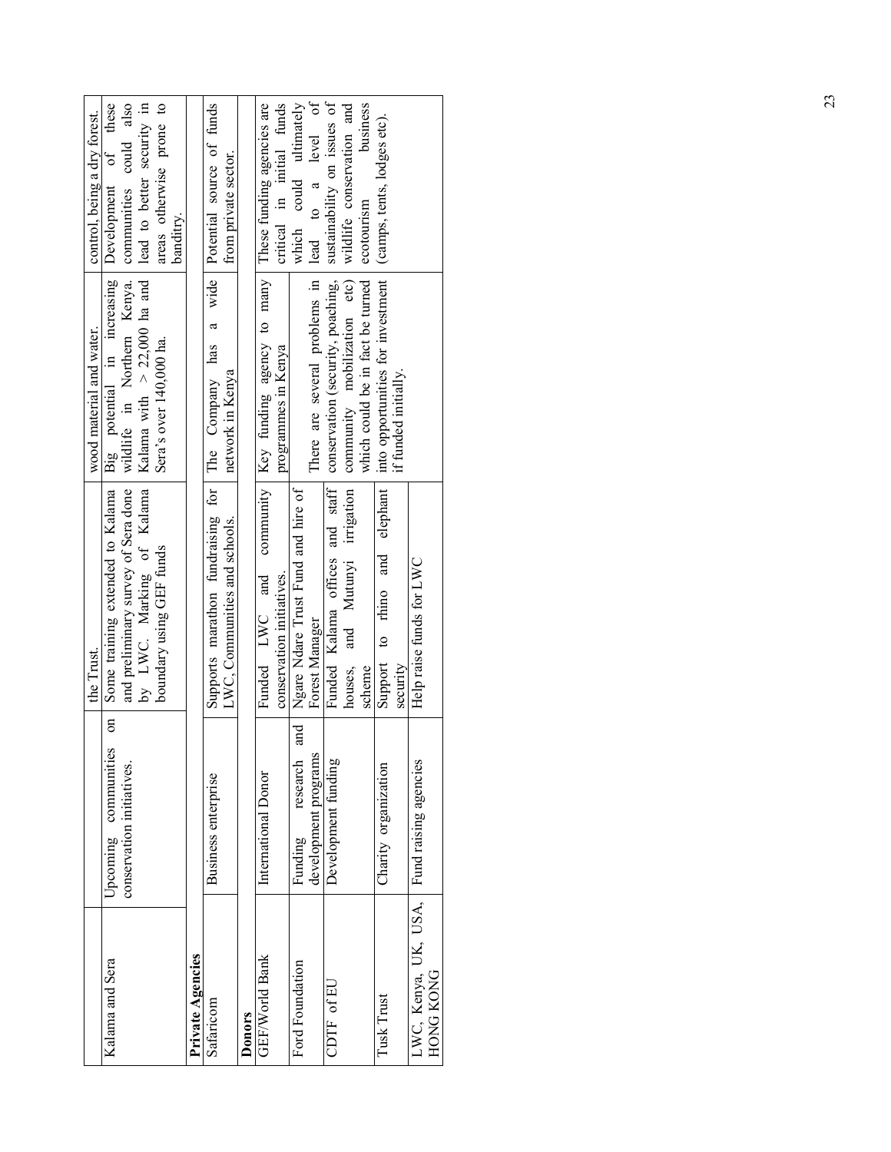|                                   |                                                                            | the Trust                                                                                                                        | wood material and water.                                                                                               | control, being a dry forest.                                                                                          |
|-----------------------------------|----------------------------------------------------------------------------|----------------------------------------------------------------------------------------------------------------------------------|------------------------------------------------------------------------------------------------------------------------|-----------------------------------------------------------------------------------------------------------------------|
| Kalama and Sera                   | $\overline{\text{m}}$<br>Upcoming communities<br>conservation initiatives. | Some training extended to Kalama<br>and preliminary survey of Sera done<br>by LWC. Marking of Kalama<br>boundary using GEF funds | Big potential in increasing<br>wildlife in Northern Kenya.<br>Kalama with $> 22,000$ ha and<br>Sera's over 140,000 ha. | Development of these<br>areas otherwise prone to<br>communities could also<br>lead to better security in<br>banditry. |
| Private Agencies                  |                                                                            |                                                                                                                                  |                                                                                                                        |                                                                                                                       |
| Safaricom                         | Business enterprise                                                        | Supports marathon fundraising for<br>LWC, Communities and schools.                                                               | The Company has a wide Potential source of funds<br>network in Kenya                                                   | from private sector.                                                                                                  |
| Donors                            |                                                                            |                                                                                                                                  |                                                                                                                        |                                                                                                                       |
| GEF/World Bank                    | International Donor                                                        | Funded LWC and<br>conservation initiatives.                                                                                      | community $ $ Key funding agency to many $ $ These funding agencies are<br>programmes in Kenya                         | critical in initial funds                                                                                             |
| Ford Foundation                   | and<br>development programs<br>research<br>Funding                         | Ngare Ndare Trust Fund and hire of<br>Forest Manager                                                                             | There are several problems in                                                                                          | lead to a level of<br>which could ultimately                                                                          |
| CDTF of EU                        | Development funding                                                        | Funded Kalama offices and staff conservation (security, poaching,<br>and Mutunyi irrigation<br>houses,<br>scheme                 | which could be in fact be turned<br>community mobilization etc)                                                        | sustainability on issues of<br>wildlife conservation and<br>business<br>ecotourism                                    |
| Tusk Trust                        | Charity organization                                                       | Support to rhino and elephant into opportunities for investment<br>security                                                      | if funded initially.                                                                                                   | (camps, tents, lodges etc).                                                                                           |
| LWC, Kenya, UK, USA,<br>HONG KONG | Fund raising agencies                                                      | Help raise funds for LWC                                                                                                         |                                                                                                                        |                                                                                                                       |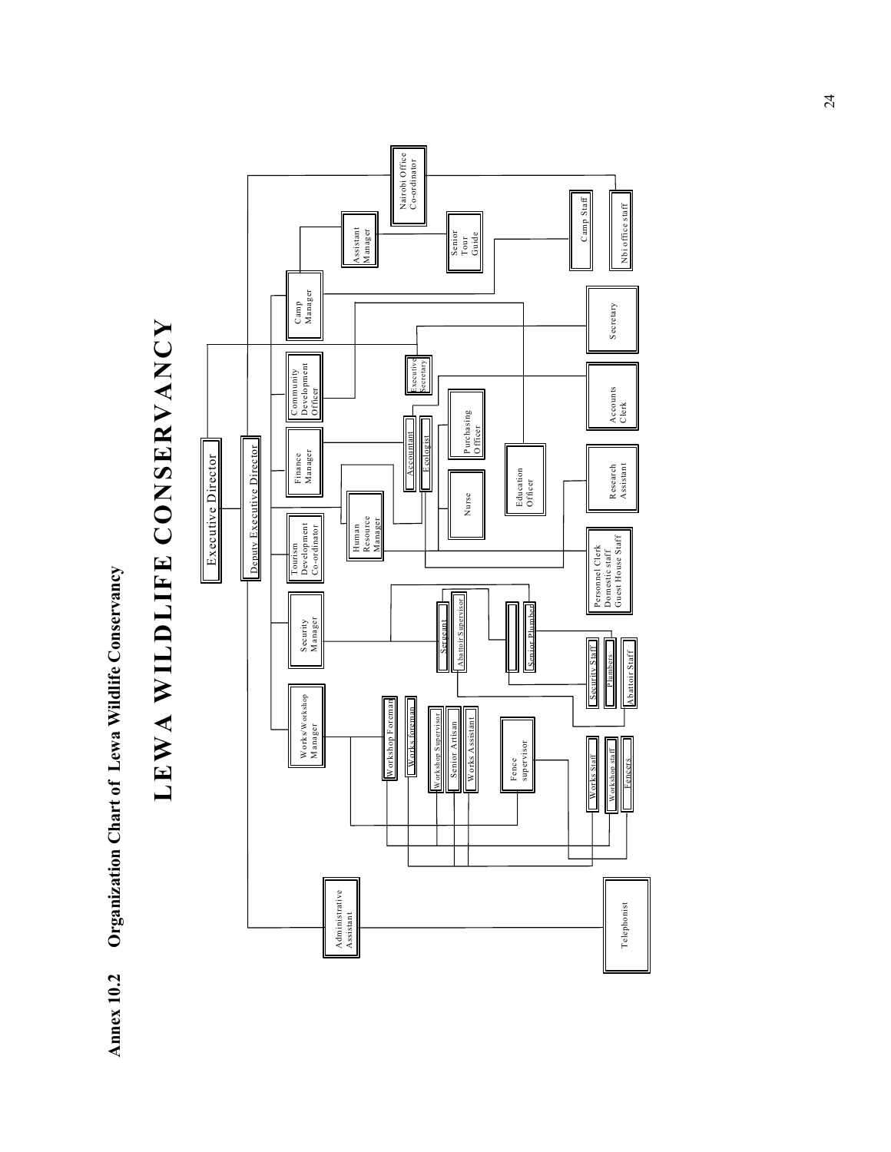**Annex 10.2 Organization Chart of Lewa Wildlife Conservancy**  Organization Chart of Lewa Wildlife Conservancy **Annex 10.2** 

### Nairobi Office<br>Co-ordinator Nairobi Office Co-ordinator Camp Staff Camp Staff Nbi office staff Nbi office staff Manager Assistant Senior Tour Guide Camp Manager Secretary Guest House Staff Research Assistant Accounts Clerk Secretary Executive Community<br>Development<br>Officer Executive Development Community  $\begin{array}{ll} \text{A counts}\\ \text{Clerk} \end{array}$ Purchasing<br>Officer Nurse Purchasing  $\begin{array}{c} \boxed{\hspace{1em}} \text{Account} \ \boxed{\hspace{1em}} \end{array}$ Accountant Ecologist Deputy Executive Director Deputy Executive Director Executive Director Finance Manager Executive Director Research<br>Assistant Education<br>Officer Education Nurse Tourism<br>Development<br>Co-ordinator Resource Human Manager Development Co-ordinator Personnel Clerk<br>Domestic staff<br>Guest House Staff Personnel Clerk Domestic staff **Sergeant** Abattoir Supervisor Senior Plumber Senior Plumber Security Manager Security Staff  $P$ lumbers Security Staff Abattoir Staff Abattoir Staff Plumbers Works/Workshop<br>Manager Works/W orkshop Workshop Foreman Workshop Foreman Works foreman Works foreman Senior Artisan<br>Works Assistant Workshop Supervisor W orkshop Supervisor Works Assistant Senior Artisan Fence supervisor Works Staff W orkshop staff  $\frac{\blacksquare}{\blacksquare}$   $\frac{\blacksquare}{\blacksquare}$  Fencers Works Staff  $\begin{array}{c} \text{A dministative}\\ \text{A sistant} \end{array}$ Administrative Telephonist Telephonist Assistant

# LEWA WILDLIFE CONSERVANCY **LEWA WILDLIFE CONSERVANCY**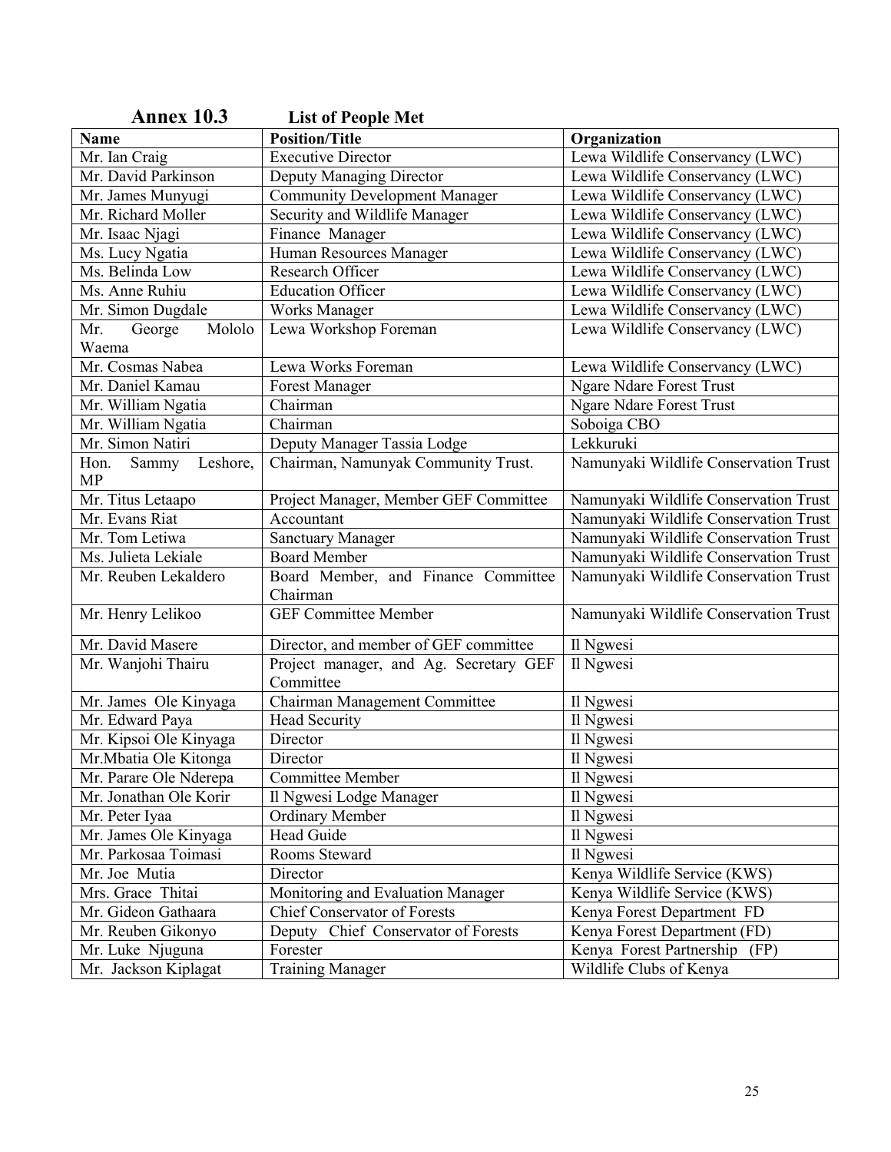|                                  | LIST OF L COPIC PLU                                 |                                       |
|----------------------------------|-----------------------------------------------------|---------------------------------------|
| <b>Name</b>                      | <b>Position/Title</b>                               | Organization                          |
| Mr. Ian Craig                    | <b>Executive Director</b>                           | Lewa Wildlife Conservancy (LWC)       |
| Mr. David Parkinson              | Deputy Managing Director                            | Lewa Wildlife Conservancy (LWC)       |
| Mr. James Munyugi                | <b>Community Development Manager</b>                | Lewa Wildlife Conservancy (LWC)       |
| Mr. Richard Moller               | Security and Wildlife Manager                       | Lewa Wildlife Conservancy (LWC)       |
| Mr. Isaac Njagi                  | Finance Manager                                     | Lewa Wildlife Conservancy (LWC)       |
| Ms. Lucy Ngatia                  | Human Resources Manager                             | Lewa Wildlife Conservancy (LWC)       |
| Ms. Belinda Low                  | Research Officer                                    | Lewa Wildlife Conservancy (LWC)       |
| Ms. Anne Ruhiu                   | Education Officer                                   | Lewa Wildlife Conservancy (LWC)       |
| Mr. Simon Dugdale                | <b>Works Manager</b>                                | Lewa Wildlife Conservancy (LWC)       |
| Mololo<br>George<br>Mr.<br>Waema | Lewa Workshop Foreman                               | Lewa Wildlife Conservancy (LWC)       |
| Mr. Cosmas Nabea                 | Lewa Works Foreman                                  | Lewa Wildlife Conservancy (LWC)       |
| Mr. Daniel Kamau                 | <b>Forest Manager</b>                               | <b>Ngare Ndare Forest Trust</b>       |
| Mr. William Ngatia               | Chairman                                            | <b>Ngare Ndare Forest Trust</b>       |
| Mr. William Ngatia               | Chairman                                            | Soboiga CBO                           |
| Mr. Simon Natiri                 | Deputy Manager Tassia Lodge                         | Lekkuruki                             |
| Sammy Leshore,<br>Hon.           | Chairman, Namunyak Community Trust.                 | Namunyaki Wildlife Conservation Trust |
| <b>MP</b>                        |                                                     |                                       |
| Mr. Titus Letaapo                | Project Manager, Member GEF Committee               | Namunyaki Wildlife Conservation Trust |
| Mr. Evans Riat                   | Accountant                                          | Namunyaki Wildlife Conservation Trust |
| Mr. Tom Letiwa                   | <b>Sanctuary Manager</b>                            | Namunyaki Wildlife Conservation Trust |
| Ms. Julieta Lekiale              | <b>Board Member</b>                                 | Namunyaki Wildlife Conservation Trust |
| Mr. Reuben Lekaldero             | Board Member, and Finance Committee                 | Namunyaki Wildlife Conservation Trust |
|                                  | Chairman                                            |                                       |
| Mr. Henry Lelikoo                | <b>GEF Committee Member</b>                         | Namunyaki Wildlife Conservation Trust |
| Mr. David Masere                 | Director, and member of GEF committee               | Il Ngwesi                             |
| Mr. Wanjohi Thairu               | Project manager, and Ag. Secretary GEF<br>Committee | Il Ngwesi                             |
| Mr. James Ole Kinyaga            | Chairman Management Committee                       | Il Ngwesi                             |
| Mr. Edward Paya                  | <b>Head Security</b>                                | Il Ngwesi                             |
| Mr. Kipsoi Ole Kinyaga           | Director                                            | Il Ngwesi                             |
| Mr. Mbatia Ole Kitonga           | Director                                            | Il Ngwesi                             |
| Mr. Parare Ole Nderepa           | <b>Committee Member</b>                             | Il Ngwesi                             |
| Mr. Jonathan Ole Korir           | Il Ngwesi Lodge Manager                             | Il Ngwesi                             |
| Mr. Peter Iyaa                   | <b>Ordinary Member</b>                              | Il Ngwesi                             |
| Mr. James Ole Kinyaga            | Head Guide                                          | Il Ngwesi                             |
| Mr. Parkosaa Toimasi             | Rooms Steward                                       | Il Ngwesi                             |
| Mr. Joe Mutia                    | Director                                            | Kenya Wildlife Service (KWS)          |
| Mrs. Grace Thitai                | Monitoring and Evaluation Manager                   | Kenya Wildlife Service (KWS)          |
| Mr. Gideon Gathaara              | Chief Conservator of Forests                        | Kenya Forest Department FD            |
| Mr. Reuben Gikonyo               | Deputy Chief Conservator of Forests                 | Kenya Forest Department (FD)          |
| Mr. Luke Njuguna                 | Forester                                            | Kenya Forest Partnership (FP)         |
| Mr. Jackson Kiplagat             | <b>Training Manager</b>                             | Wildlife Clubs of Kenya               |

| <b>Annex 10.3</b> | <b>List of People Met</b> |  |
|-------------------|---------------------------|--|
|-------------------|---------------------------|--|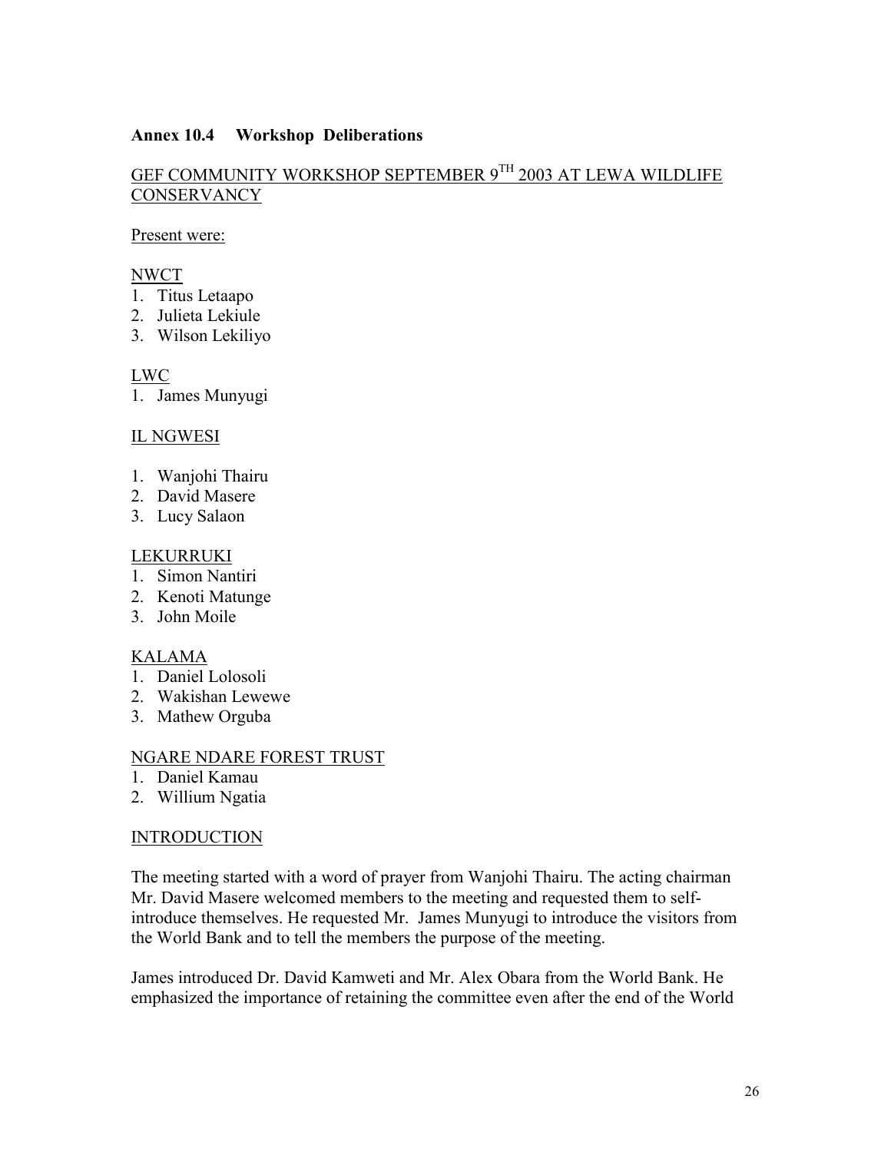## **Annex 10.4 Workshop Deliberations**

## GEF COMMUNITY WORKSHOP SEPTEMBER 9TH 2003 AT LEWA WILDLIFE **CONSERVANCY**

## Present were:

## NWCT

- 1. Titus Letaapo
- 2. Julieta Lekiule
- 3. Wilson Lekiliyo

## LWC

1. James Munyugi

## IL NGWESI

- 1. Wanjohi Thairu
- 2. David Masere
- 3. Lucy Salaon

## LEKURRUKI

- 1. Simon Nantiri
- 2. Kenoti Matunge
- 3. John Moile

## KALAMA

- 1. Daniel Lolosoli
- 2. Wakishan Lewewe
- 3. Mathew Orguba

## NGARE NDARE FOREST TRUST

- 1. Daniel Kamau
- 2. Willium Ngatia

## **INTRODUCTION**

The meeting started with a word of prayer from Wanjohi Thairu. The acting chairman Mr. David Masere welcomed members to the meeting and requested them to selfintroduce themselves. He requested Mr. James Munyugi to introduce the visitors from the World Bank and to tell the members the purpose of the meeting.

James introduced Dr. David Kamweti and Mr. Alex Obara from the World Bank. He emphasized the importance of retaining the committee even after the end of the World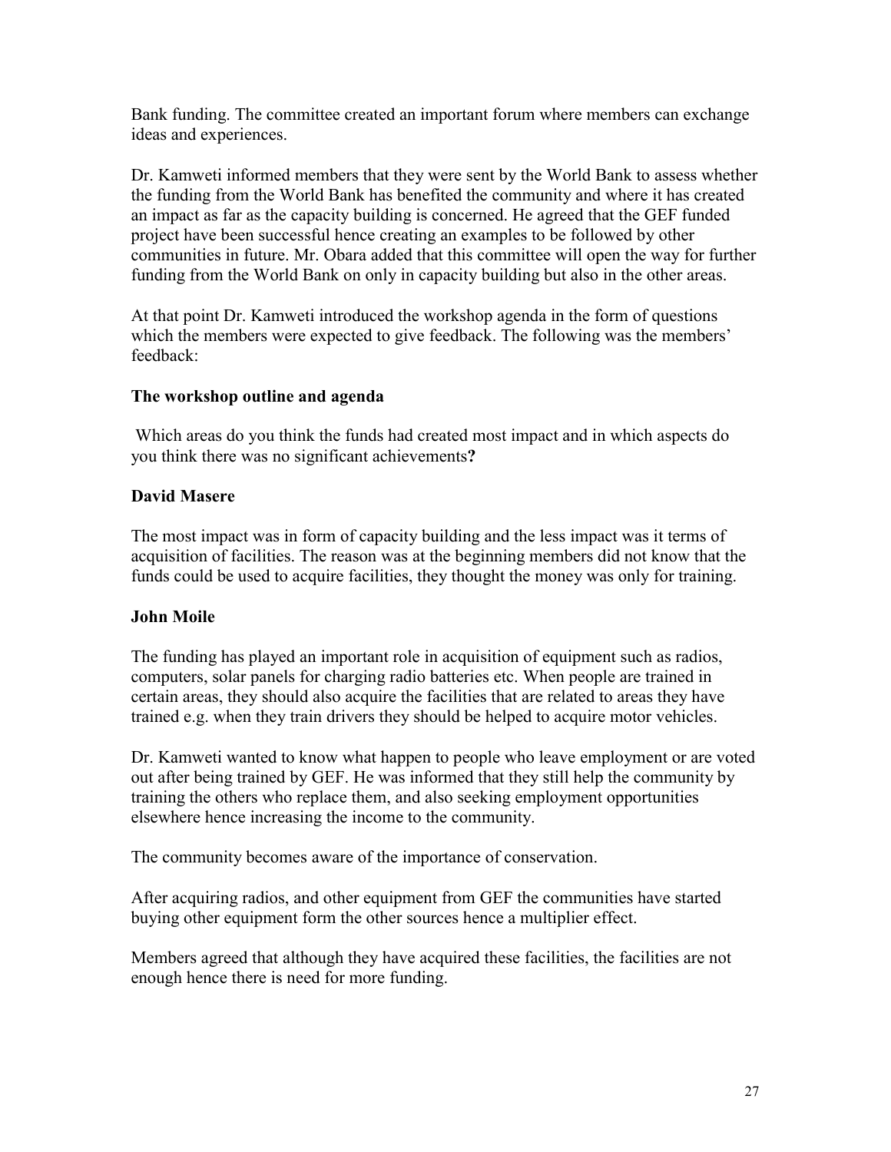Bank funding. The committee created an important forum where members can exchange ideas and experiences.

Dr. Kamweti informed members that they were sent by the World Bank to assess whether the funding from the World Bank has benefited the community and where it has created an impact as far as the capacity building is concerned. He agreed that the GEF funded project have been successful hence creating an examples to be followed by other communities in future. Mr. Obara added that this committee will open the way for further funding from the World Bank on only in capacity building but also in the other areas.

At that point Dr. Kamweti introduced the workshop agenda in the form of questions which the members were expected to give feedback. The following was the members' feedback:

## **The workshop outline and agenda**

Which areas do you think the funds had created most impact and in which aspects do you think there was no significant achievements**?**

## **David Masere**

The most impact was in form of capacity building and the less impact was it terms of acquisition of facilities. The reason was at the beginning members did not know that the funds could be used to acquire facilities, they thought the money was only for training.

## **John Moile**

The funding has played an important role in acquisition of equipment such as radios, computers, solar panels for charging radio batteries etc. When people are trained in certain areas, they should also acquire the facilities that are related to areas they have trained e.g. when they train drivers they should be helped to acquire motor vehicles.

Dr. Kamweti wanted to know what happen to people who leave employment or are voted out after being trained by GEF. He was informed that they still help the community by training the others who replace them, and also seeking employment opportunities elsewhere hence increasing the income to the community.

The community becomes aware of the importance of conservation.

After acquiring radios, and other equipment from GEF the communities have started buying other equipment form the other sources hence a multiplier effect.

Members agreed that although they have acquired these facilities, the facilities are not enough hence there is need for more funding.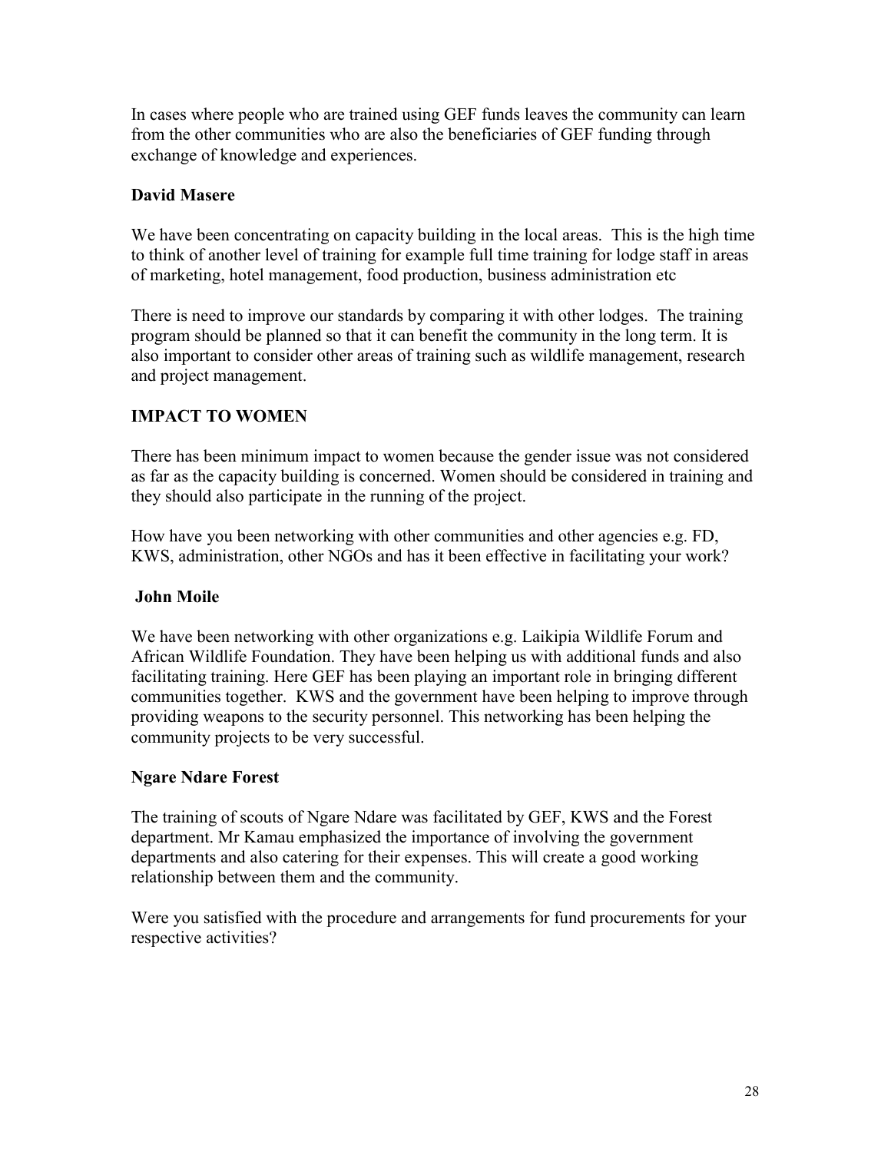In cases where people who are trained using GEF funds leaves the community can learn from the other communities who are also the beneficiaries of GEF funding through exchange of knowledge and experiences.

## **David Masere**

We have been concentrating on capacity building in the local areas. This is the high time to think of another level of training for example full time training for lodge staff in areas of marketing, hotel management, food production, business administration etc

There is need to improve our standards by comparing it with other lodges. The training program should be planned so that it can benefit the community in the long term. It is also important to consider other areas of training such as wildlife management, research and project management.

## **IMPACT TO WOMEN**

There has been minimum impact to women because the gender issue was not considered as far as the capacity building is concerned. Women should be considered in training and they should also participate in the running of the project.

How have you been networking with other communities and other agencies e.g. FD, KWS, administration, other NGOs and has it been effective in facilitating your work?

## **John Moile**

We have been networking with other organizations e.g. Laikipia Wildlife Forum and African Wildlife Foundation. They have been helping us with additional funds and also facilitating training. Here GEF has been playing an important role in bringing different communities together. KWS and the government have been helping to improve through providing weapons to the security personnel. This networking has been helping the community projects to be very successful.

## **Ngare Ndare Forest**

The training of scouts of Ngare Ndare was facilitated by GEF, KWS and the Forest department. Mr Kamau emphasized the importance of involving the government departments and also catering for their expenses. This will create a good working relationship between them and the community.

Were you satisfied with the procedure and arrangements for fund procurements for your respective activities?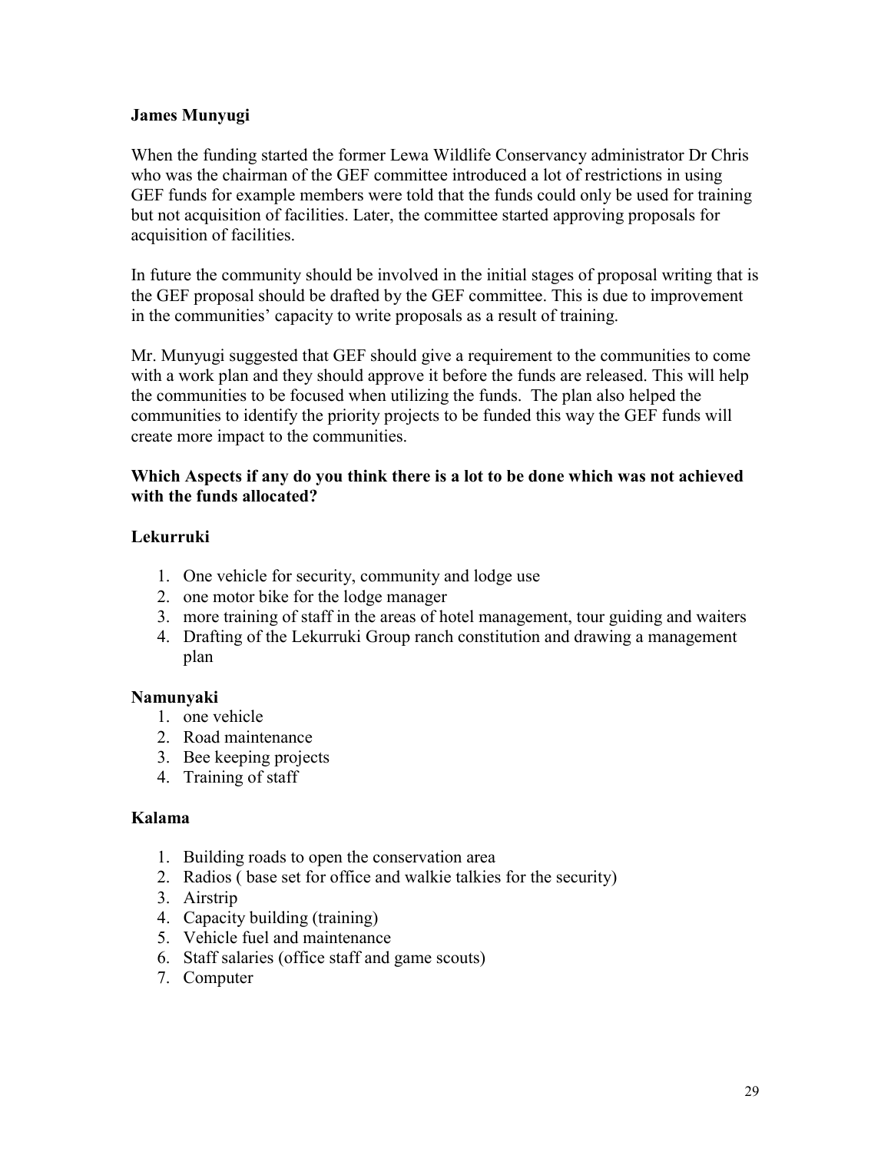## **James Munyugi**

When the funding started the former Lewa Wildlife Conservancy administrator Dr Chris who was the chairman of the GEF committee introduced a lot of restrictions in using GEF funds for example members were told that the funds could only be used for training but not acquisition of facilities. Later, the committee started approving proposals for acquisition of facilities.

In future the community should be involved in the initial stages of proposal writing that is the GEF proposal should be drafted by the GEF committee. This is due to improvement in the communities' capacity to write proposals as a result of training.

Mr. Munyugi suggested that GEF should give a requirement to the communities to come with a work plan and they should approve it before the funds are released. This will help the communities to be focused when utilizing the funds. The plan also helped the communities to identify the priority projects to be funded this way the GEF funds will create more impact to the communities.

## **Which Aspects if any do you think there is a lot to be done which was not achieved with the funds allocated?**

## **Lekurruki**

- 1. One vehicle for security, community and lodge use
- 2. one motor bike for the lodge manager
- 3. more training of staff in the areas of hotel management, tour guiding and waiters
- 4. Drafting of the Lekurruki Group ranch constitution and drawing a management plan

## **Namunyaki**

- 1. one vehicle
- 2. Road maintenance
- 3. Bee keeping projects
- 4. Training of staff

## **Kalama**

- 1. Building roads to open the conservation area
- 2. Radios ( base set for office and walkie talkies for the security)
- 3. Airstrip
- 4. Capacity building (training)
- 5. Vehicle fuel and maintenance
- 6. Staff salaries (office staff and game scouts)
- 7. Computer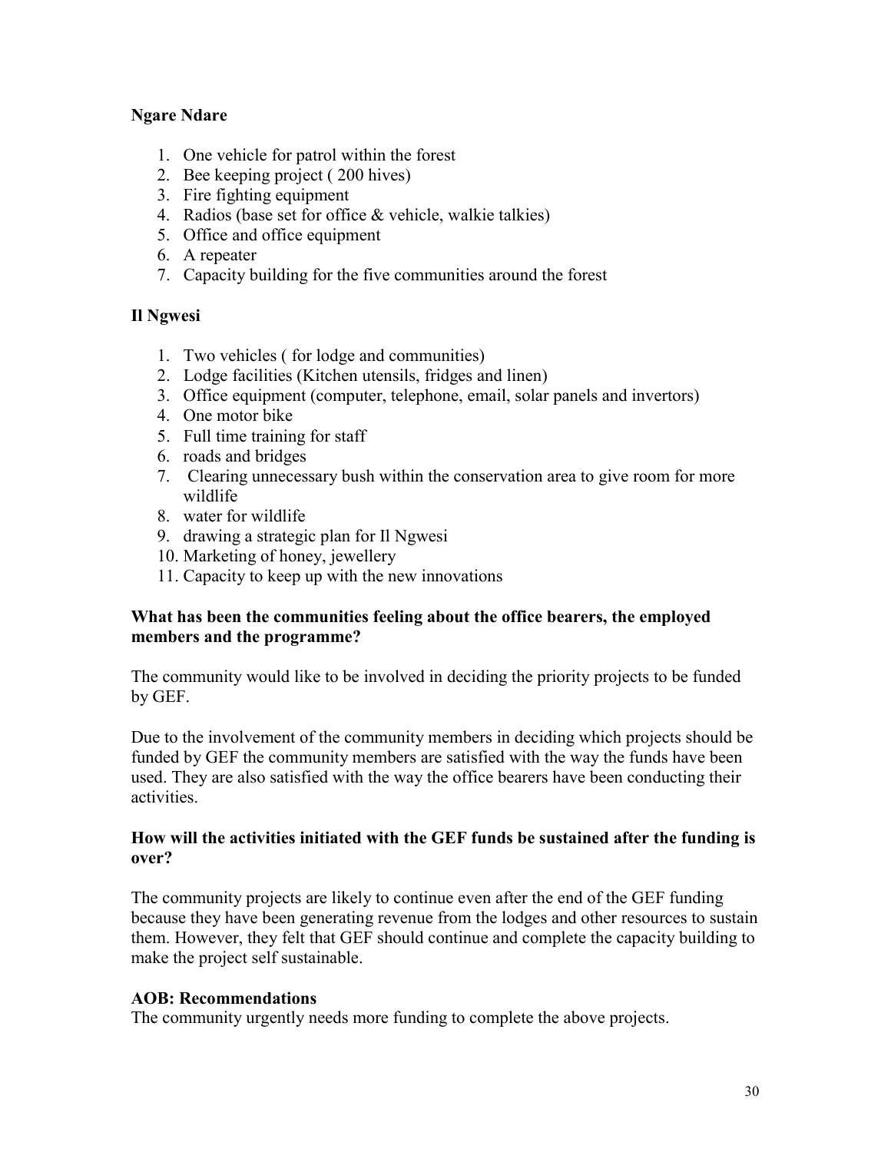## **Ngare Ndare**

- 1. One vehicle for patrol within the forest
- 2. Bee keeping project ( 200 hives)
- 3. Fire fighting equipment
- 4. Radios (base set for office & vehicle, walkie talkies)
- 5. Office and office equipment
- 6. A repeater
- 7. Capacity building for the five communities around the forest

## **Il Ngwesi**

- 1. Two vehicles ( for lodge and communities)
- 2. Lodge facilities (Kitchen utensils, fridges and linen)
- 3. Office equipment (computer, telephone, email, solar panels and invertors)
- 4. One motor bike
- 5. Full time training for staff
- 6. roads and bridges
- 7. Clearing unnecessary bush within the conservation area to give room for more wildlife
- 8. water for wildlife
- 9. drawing a strategic plan for Il Ngwesi
- 10. Marketing of honey, jewellery
- 11. Capacity to keep up with the new innovations

## **What has been the communities feeling about the office bearers, the employed members and the programme?**

The community would like to be involved in deciding the priority projects to be funded by GEF.

Due to the involvement of the community members in deciding which projects should be funded by GEF the community members are satisfied with the way the funds have been used. They are also satisfied with the way the office bearers have been conducting their activities.

## **How will the activities initiated with the GEF funds be sustained after the funding is over?**

The community projects are likely to continue even after the end of the GEF funding because they have been generating revenue from the lodges and other resources to sustain them. However, they felt that GEF should continue and complete the capacity building to make the project self sustainable.

## **AOB: Recommendations**

The community urgently needs more funding to complete the above projects.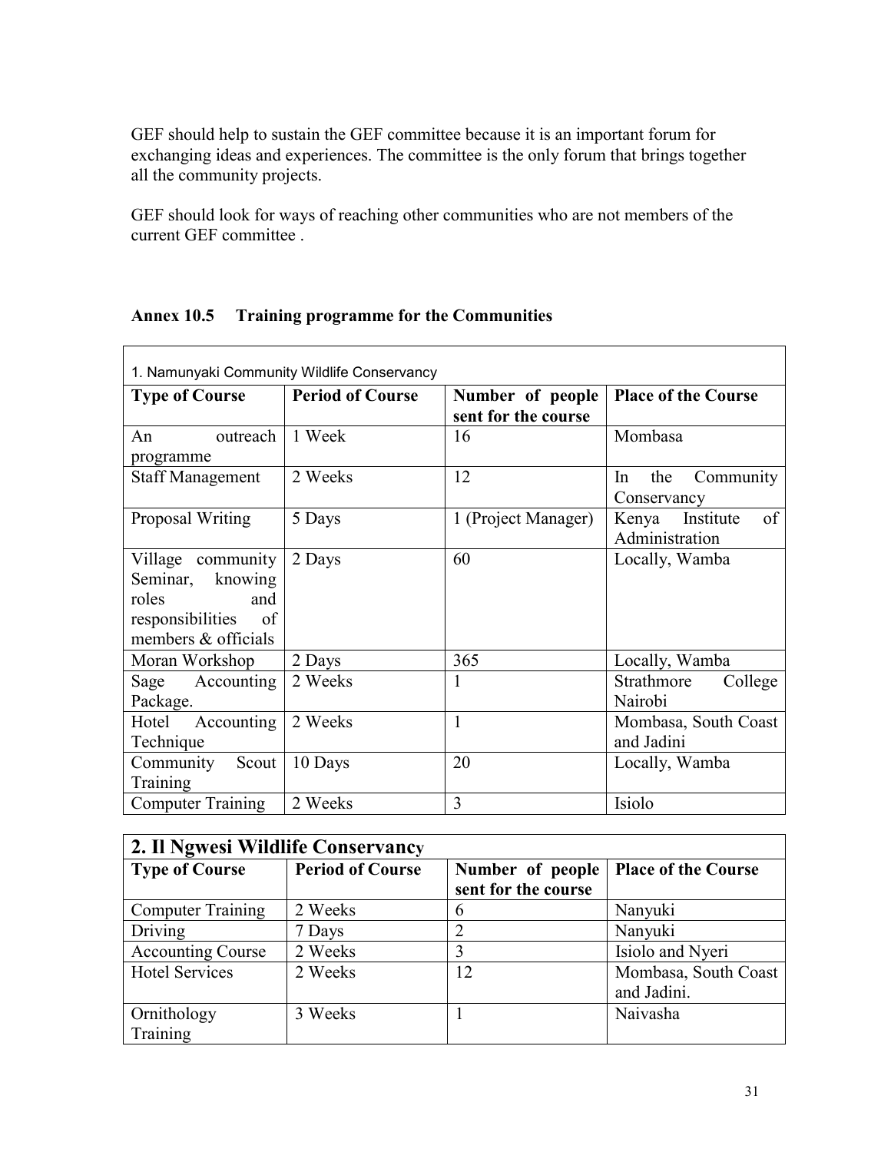GEF should help to sustain the GEF committee because it is an important forum for exchanging ideas and experiences. The committee is the only forum that brings together all the community projects.

GEF should look for ways of reaching other communities who are not members of the current GEF committee .

|                                                                                                           | 1. Namunyaki Community Wildlife Conservancy |                                         |                                            |
|-----------------------------------------------------------------------------------------------------------|---------------------------------------------|-----------------------------------------|--------------------------------------------|
| <b>Type of Course</b>                                                                                     | <b>Period of Course</b>                     | Number of people<br>sent for the course | <b>Place of the Course</b>                 |
| outreach<br>An<br>programme                                                                               | 1 Week                                      | 16                                      | Mombasa                                    |
| <b>Staff Management</b>                                                                                   | 2 Weeks                                     | 12                                      | the<br>Community<br>In<br>Conservancy      |
| Proposal Writing                                                                                          | 5 Days                                      | 1 (Project Manager)                     | of<br>Institute<br>Kenya<br>Administration |
| Village community<br>Seminar,<br>knowing<br>roles<br>and<br>responsibilities<br>of<br>members & officials | 2 Days                                      | 60                                      | Locally, Wamba                             |
| Moran Workshop                                                                                            | 2 Days                                      | 365                                     | Locally, Wamba                             |
| Accounting<br>Sage<br>Package.                                                                            | 2 Weeks                                     | 1                                       | Strathmore<br>College<br>Nairobi           |
| Hotel<br>Accounting<br>Technique                                                                          | 2 Weeks                                     | $\mathbf{1}$                            | Mombasa, South Coast<br>and Jadini         |
| Scout<br>Community<br>Training                                                                            | 10 Days                                     | 20                                      | Locally, Wamba                             |
| <b>Computer Training</b>                                                                                  | 2 Weeks                                     | 3                                       | Isiolo                                     |

## **Annex 10.5 Training programme for the Communities**

| 2. Il Ngwesi Wildlife Conservancy |                         |                                         |                                     |
|-----------------------------------|-------------------------|-----------------------------------------|-------------------------------------|
| <b>Type of Course</b>             | <b>Period of Course</b> | Number of people<br>sent for the course | <b>Place of the Course</b>          |
| <b>Computer Training</b>          | 2 Weeks                 | b                                       | Nanyuki                             |
| Driving                           | 7 Days                  |                                         | Nanyuki                             |
| <b>Accounting Course</b>          | 2 Weeks                 |                                         | Isiolo and Nyeri                    |
| <b>Hotel Services</b>             | 2 Weeks                 | 12                                      | Mombasa, South Coast<br>and Jadini. |
| Ornithology<br>Training           | 3 Weeks                 |                                         | Naivasha                            |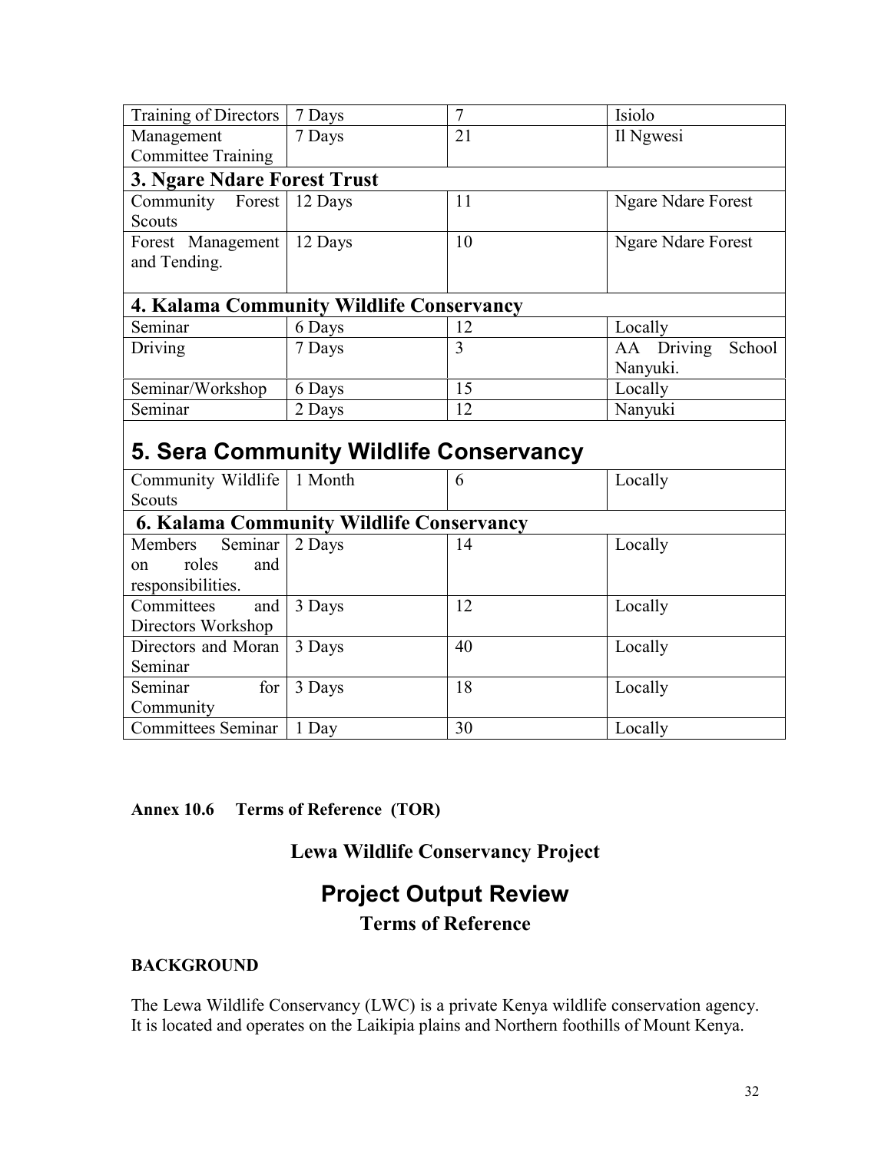| Training of Directors                           | 7 Days                                   | $\overline{7}$ | Isiolo                    |  |
|-------------------------------------------------|------------------------------------------|----------------|---------------------------|--|
| Management                                      | 7 Days                                   | 21             | Il Ngwesi                 |  |
| <b>Committee Training</b>                       |                                          |                |                           |  |
| 3. Ngare Ndare Forest Trust                     |                                          |                |                           |  |
| Community Forest                                | 12 Days                                  | 11             | <b>Ngare Ndare Forest</b> |  |
| <b>Scouts</b>                                   |                                          |                |                           |  |
| Forest Management                               | 12 Days                                  | 10             | <b>Ngare Ndare Forest</b> |  |
| and Tending.                                    |                                          |                |                           |  |
|                                                 |                                          |                |                           |  |
|                                                 | 4. Kalama Community Wildlife Conservancy |                |                           |  |
| Seminar                                         | 6 Days                                   | 12             | Locally                   |  |
| Driving                                         | 7 Days                                   | 3              | AA Driving<br>School      |  |
|                                                 |                                          |                | Nanyuki.                  |  |
| Seminar/Workshop                                | 6 Days                                   | 15             | Locally                   |  |
| Seminar                                         | 2 Days                                   | 12             | Nanyuki                   |  |
| 5. Sera Community Wildlife Conservancy          |                                          |                |                           |  |
|                                                 |                                          |                |                           |  |
| Community Wildlife                              | 1 Month                                  | 6              | Locally                   |  |
| Scouts                                          |                                          |                |                           |  |
| <b>6. Kalama Community Wildlife Conservancy</b> |                                          |                |                           |  |
| Seminar<br>Members                              | 2 Days                                   | 14             | Locally                   |  |
| roles<br>and<br>on                              |                                          |                |                           |  |
| responsibilities.                               |                                          |                |                           |  |
| Committees<br>and                               | 3 Days                                   | 12             | Locally                   |  |
| Directors Workshop                              |                                          |                |                           |  |
| Directors and Moran                             | 3 Days                                   | 40             | Locally                   |  |
| Seminar                                         |                                          |                |                           |  |
| Seminar<br>for                                  | 3 Days                                   | 18             | Locally                   |  |
| Community                                       |                                          |                |                           |  |
| <b>Committees Seminar</b>                       | 1 Day                                    | 30             | Locally                   |  |

## **Annex 10.6 Terms of Reference (TOR)**

# **Lewa Wildlife Conservancy Project**

# **Project Output Review**

## **Terms of Reference**

## **BACKGROUND**

The Lewa Wildlife Conservancy (LWC) is a private Kenya wildlife conservation agency. It is located and operates on the Laikipia plains and Northern foothills of Mount Kenya.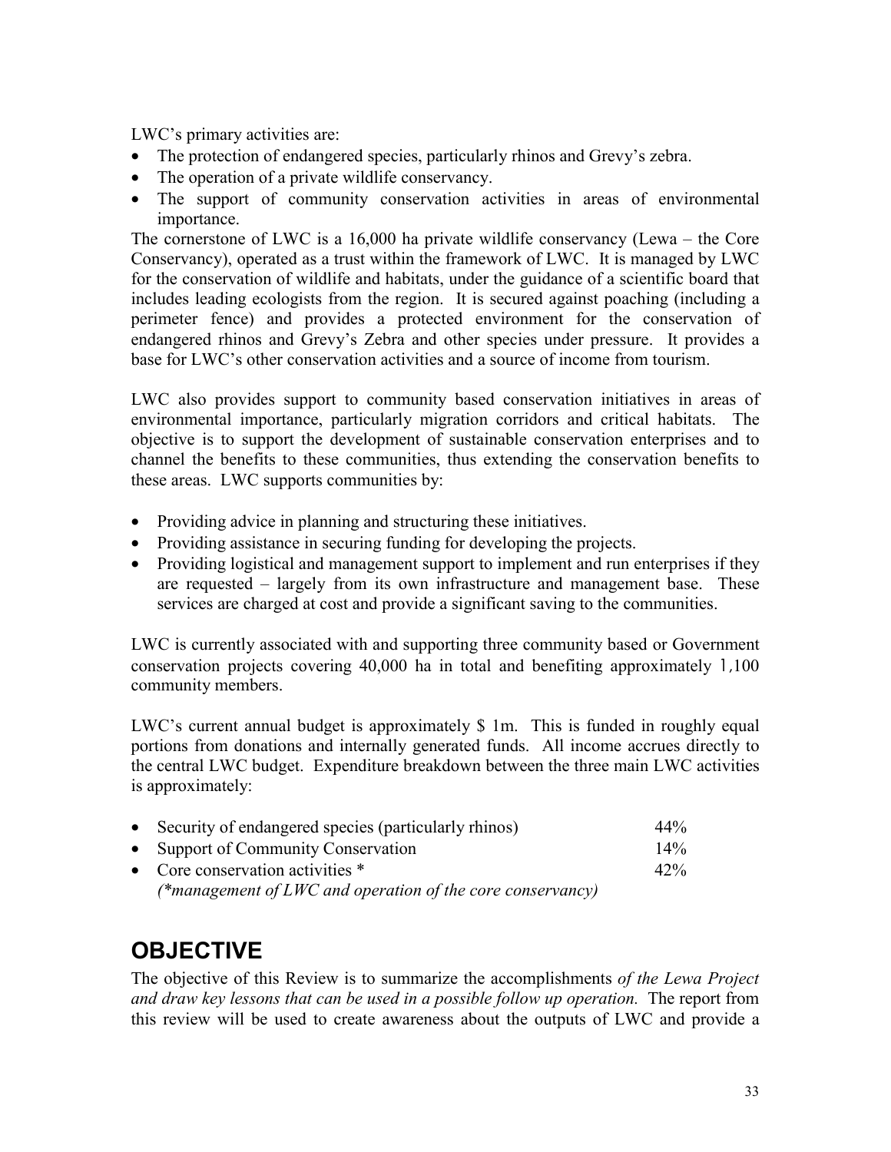LWC's primary activities are:

- The protection of endangered species, particularly rhinos and Grevy's zebra.
- The operation of a private wildlife conservancy.
- The support of community conservation activities in areas of environmental importance.

The cornerstone of LWC is a 16,000 ha private wildlife conservancy (Lewa – the Core Conservancy), operated as a trust within the framework of LWC. It is managed by LWC for the conservation of wildlife and habitats, under the guidance of a scientific board that includes leading ecologists from the region. It is secured against poaching (including a perimeter fence) and provides a protected environment for the conservation of endangered rhinos and Grevy's Zebra and other species under pressure. It provides a base for LWC's other conservation activities and a source of income from tourism.

LWC also provides support to community based conservation initiatives in areas of environmental importance, particularly migration corridors and critical habitats. The objective is to support the development of sustainable conservation enterprises and to channel the benefits to these communities, thus extending the conservation benefits to these areas. LWC supports communities by:

- Providing advice in planning and structuring these initiatives.
- Providing assistance in securing funding for developing the projects.
- Providing logistical and management support to implement and run enterprises if they are requested – largely from its own infrastructure and management base. These services are charged at cost and provide a significant saving to the communities.

LWC is currently associated with and supporting three community based or Government conservation projects covering 40,000 ha in total and benefiting approximately 1,100 community members.

LWC's current annual budget is approximately \$ 1m. This is funded in roughly equal portions from donations and internally generated funds. All income accrues directly to the central LWC budget. Expenditure breakdown between the three main LWC activities is approximately:

| • Security of endangered species (particularly rhinos)     | $44\%$ |
|------------------------------------------------------------|--------|
| • Support of Community Conservation                        | $14\%$ |
| • Core conservation activities $*$                         | 42%    |
| (*management of LWC and operation of the core conservancy) |        |

# **OBJECTIVE**

The objective of this Review is to summarize the accomplishments *of the Lewa Project and draw key lessons that can be used in a possible follow up operation.* The report from this review will be used to create awareness about the outputs of LWC and provide a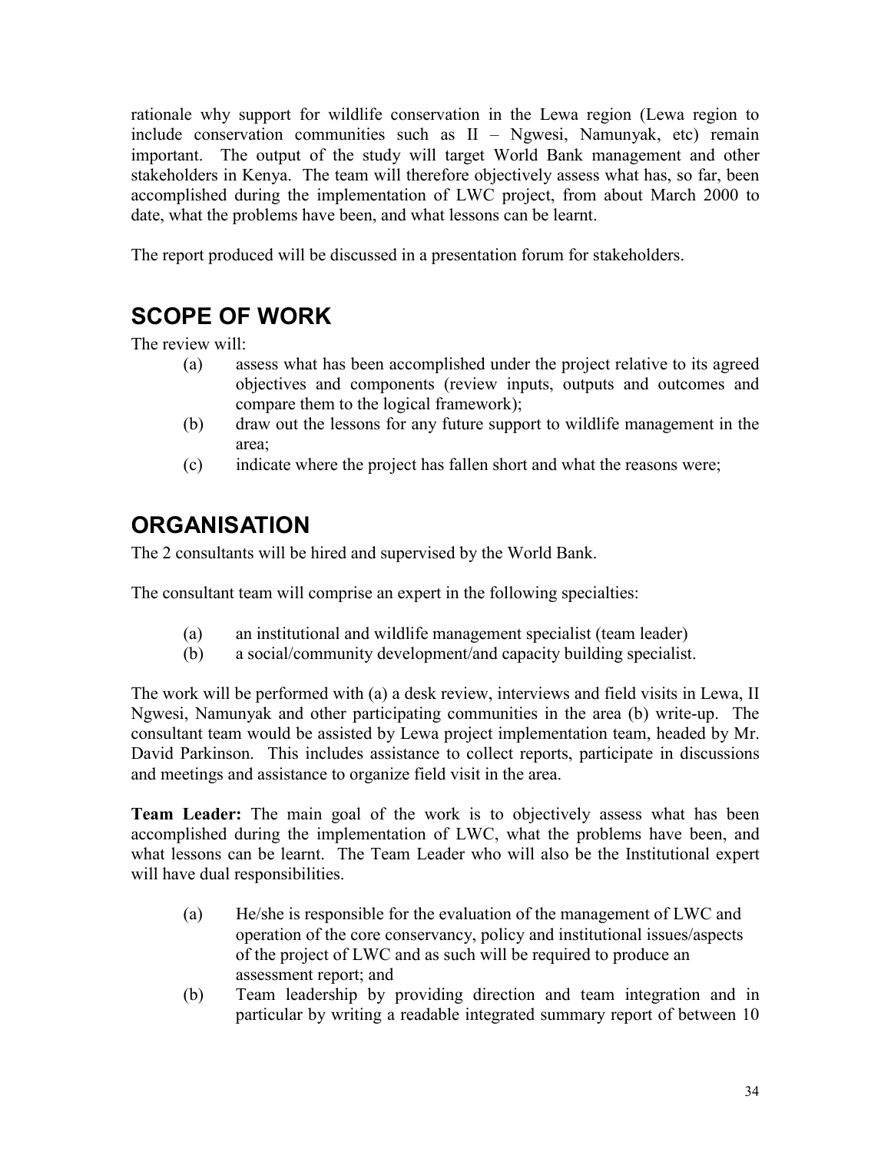rationale why support for wildlife conservation in the Lewa region (Lewa region to include conservation communities such as II – Ngwesi, Namunyak, etc) remain important. The output of the study will target World Bank management and other stakeholders in Kenya. The team will therefore objectively assess what has, so far, been accomplished during the implementation of LWC project, from about March 2000 to date, what the problems have been, and what lessons can be learnt.

The report produced will be discussed in a presentation forum for stakeholders.

# **SCOPE OF WORK**

The review will:

- (a) assess what has been accomplished under the project relative to its agreed objectives and components (review inputs, outputs and outcomes and compare them to the logical framework);
- (b) draw out the lessons for any future support to wildlife management in the area;
- (c) indicate where the project has fallen short and what the reasons were;

# **ORGANISATION**

The 2 consultants will be hired and supervised by the World Bank.

The consultant team will comprise an expert in the following specialties:

- (a) an institutional and wildlife management specialist (team leader)
- (b) a social/community development/and capacity building specialist.

The work will be performed with (a) a desk review, interviews and field visits in Lewa, II Ngwesi, Namunyak and other participating communities in the area (b) write-up. The consultant team would be assisted by Lewa project implementation team, headed by Mr. David Parkinson. This includes assistance to collect reports, participate in discussions and meetings and assistance to organize field visit in the area.

**Team Leader:** The main goal of the work is to objectively assess what has been accomplished during the implementation of LWC, what the problems have been, and what lessons can be learnt. The Team Leader who will also be the Institutional expert will have dual responsibilities.

- (a) He/she is responsible for the evaluation of the management of LWC and operation of the core conservancy, policy and institutional issues/aspects of the project of LWC and as such will be required to produce an assessment report; and
- (b) Team leadership by providing direction and team integration and in particular by writing a readable integrated summary report of between 10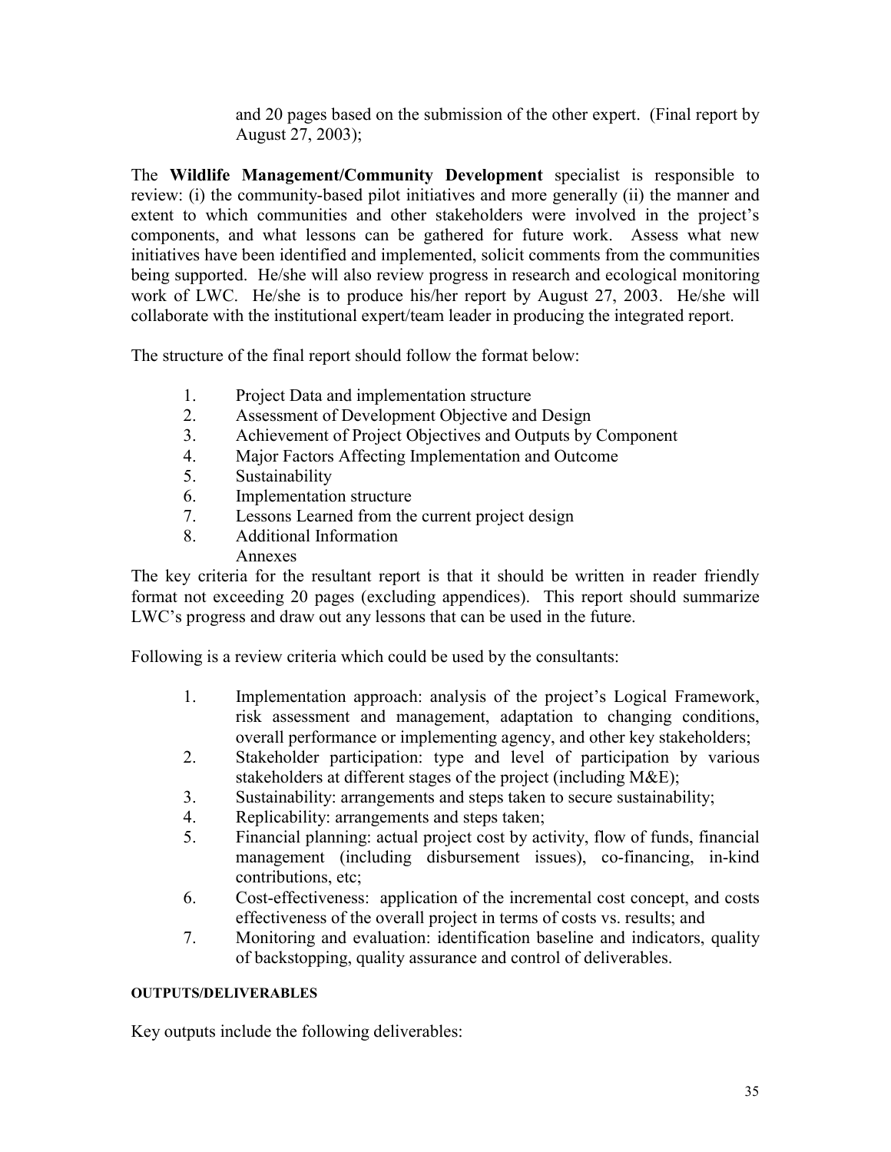and 20 pages based on the submission of the other expert. (Final report by August 27, 2003);

The **Wildlife Management/Community Development** specialist is responsible to review: (i) the community-based pilot initiatives and more generally (ii) the manner and extent to which communities and other stakeholders were involved in the project's components, and what lessons can be gathered for future work. Assess what new initiatives have been identified and implemented, solicit comments from the communities being supported. He/she will also review progress in research and ecological monitoring work of LWC. He/she is to produce his/her report by August 27, 2003. He/she will collaborate with the institutional expert/team leader in producing the integrated report.

The structure of the final report should follow the format below:

- 1. Project Data and implementation structure
- 2. Assessment of Development Objective and Design
- 3. Achievement of Project Objectives and Outputs by Component
- 4. Major Factors Affecting Implementation and Outcome
- 5. Sustainability
- 6. Implementation structure
- 7. Lessons Learned from the current project design
- 8. Additional Information Annexes

The key criteria for the resultant report is that it should be written in reader friendly format not exceeding 20 pages (excluding appendices). This report should summarize LWC's progress and draw out any lessons that can be used in the future.

Following is a review criteria which could be used by the consultants:

- 1. Implementation approach: analysis of the project's Logical Framework, risk assessment and management, adaptation to changing conditions, overall performance or implementing agency, and other key stakeholders;
- 2. Stakeholder participation: type and level of participation by various stakeholders at different stages of the project (including M&E);
- 3. Sustainability: arrangements and steps taken to secure sustainability;
- 4. Replicability: arrangements and steps taken;
- 5. Financial planning: actual project cost by activity, flow of funds, financial management (including disbursement issues), co-financing, in-kind contributions, etc;
- 6. Cost-effectiveness: application of the incremental cost concept, and costs effectiveness of the overall project in terms of costs vs. results; and
- 7. Monitoring and evaluation: identification baseline and indicators, quality of backstopping, quality assurance and control of deliverables.

## **OUTPUTS/DELIVERABLES**

Key outputs include the following deliverables: